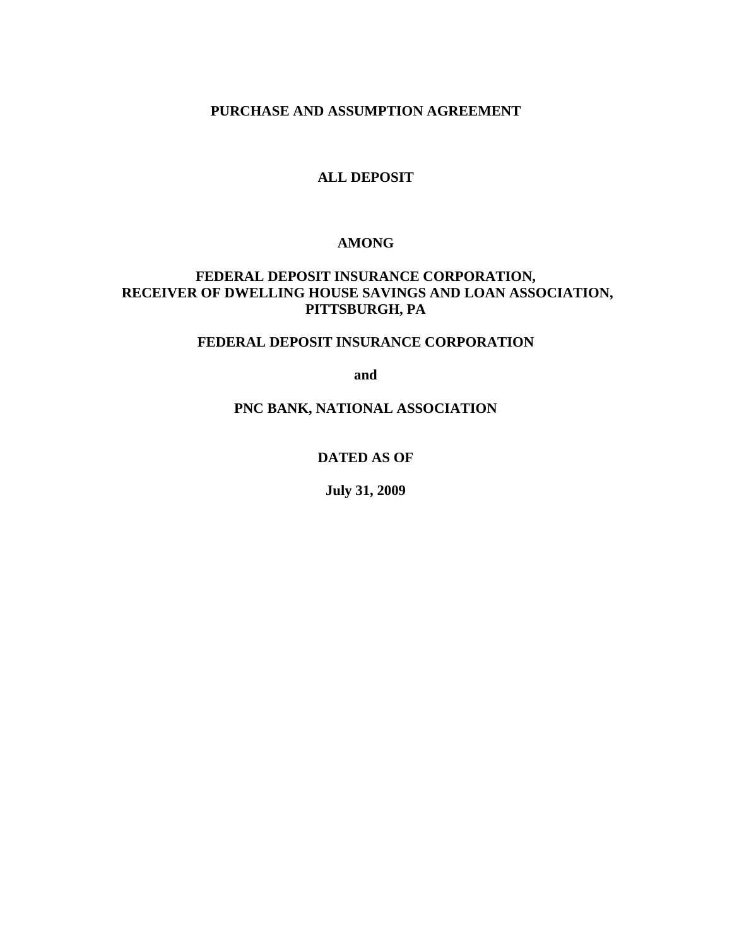**PURCHASE AND ASSUMPTION AGREEMENT** 

### **ALL DEPOSIT**

### **AMONG**

### **FEDERAL DEPOSIT INSURANCE CORPORATION, RECEIVER OF DWELLING HOUSE SAVINGS AND LOAN ASSOCIATION, PITTSBURGH, PA**

### **FEDERAL DEPOSIT INSURANCE CORPORATION**

**and** 

**PNC BANK, NATIONAL ASSOCIATION** 

**DATED AS OF** 

**July 31, 2009**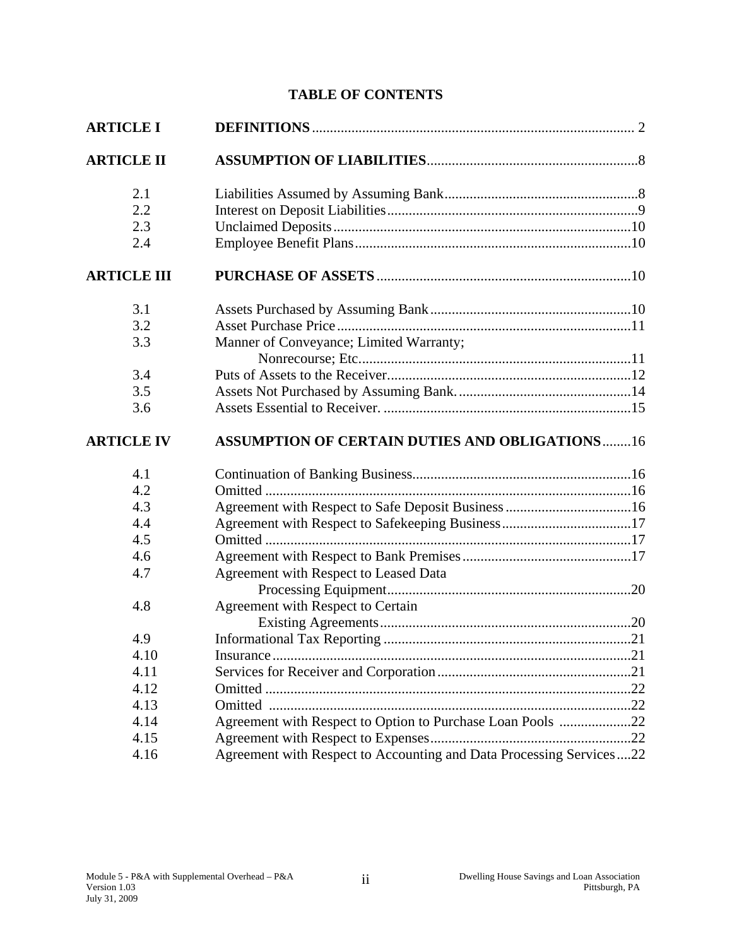# **TABLE OF CONTENTS**

| <b>ARTICLE I</b>   |                                                                     |  |
|--------------------|---------------------------------------------------------------------|--|
| <b>ARTICLE II</b>  |                                                                     |  |
| 2.1                |                                                                     |  |
| 2.2                |                                                                     |  |
| 2.3                |                                                                     |  |
| 2.4                |                                                                     |  |
| <b>ARTICLE III</b> |                                                                     |  |
| 3.1                |                                                                     |  |
| 3.2                |                                                                     |  |
| 3.3                | Manner of Conveyance; Limited Warranty;                             |  |
|                    |                                                                     |  |
| 3.4                |                                                                     |  |
| 3.5                |                                                                     |  |
| 3.6                |                                                                     |  |
| <b>ARTICLE IV</b>  | <b>ASSUMPTION OF CERTAIN DUTIES AND OBLIGATIONS16</b>               |  |
| 4.1                |                                                                     |  |
| 4.2                |                                                                     |  |
| 4.3                |                                                                     |  |
| 4.4                |                                                                     |  |
| 4.5                |                                                                     |  |
| 4.6                |                                                                     |  |
| 4.7                | Agreement with Respect to Leased Data                               |  |
|                    |                                                                     |  |
| 4.8                | Agreement with Respect to Certain                                   |  |
|                    |                                                                     |  |
| 4.9                |                                                                     |  |
| 4.10               |                                                                     |  |
| 4.11               |                                                                     |  |
| 4.12               |                                                                     |  |
| 4.13               |                                                                     |  |
| 4.14               | Agreement with Respect to Option to Purchase Loan Pools 22          |  |
| 4.15               |                                                                     |  |
| 4.16               | Agreement with Respect to Accounting and Data Processing Services22 |  |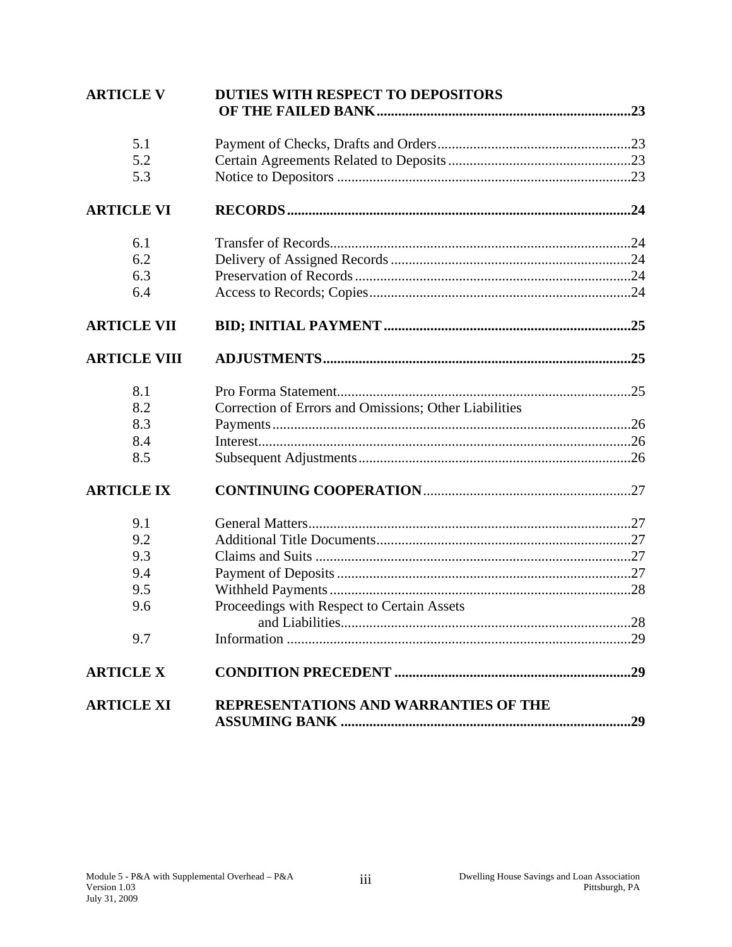| <b>ARTICLE V</b>    | <b>DUTIES WITH RESPECT TO DEPOSITORS</b>              |  |
|---------------------|-------------------------------------------------------|--|
| 5.1                 |                                                       |  |
| 5.2                 |                                                       |  |
| 5.3                 |                                                       |  |
| <b>ARTICLE VI</b>   |                                                       |  |
| 6.1                 |                                                       |  |
| 6.2                 |                                                       |  |
| 6.3                 |                                                       |  |
| 6.4                 |                                                       |  |
| <b>ARTICLE VII</b>  |                                                       |  |
| <b>ARTICLE VIII</b> |                                                       |  |
| 8.1                 |                                                       |  |
| 8.2                 | Correction of Errors and Omissions; Other Liabilities |  |
| 8.3                 |                                                       |  |
| 8.4                 |                                                       |  |
| 8.5                 |                                                       |  |
| <b>ARTICLE IX</b>   |                                                       |  |
| 9.1                 |                                                       |  |
| 9.2                 |                                                       |  |
| 9.3                 |                                                       |  |
| 9.4                 |                                                       |  |
| 9.5                 |                                                       |  |
| 9.6                 | Proceedings with Respect to Certain Assets            |  |
| 9.7                 |                                                       |  |
| <b>ARTICLE X</b>    |                                                       |  |
| <b>ARTICLE XI</b>   | REPRESENTATIONS AND WARRANTIES OF THE                 |  |
|                     |                                                       |  |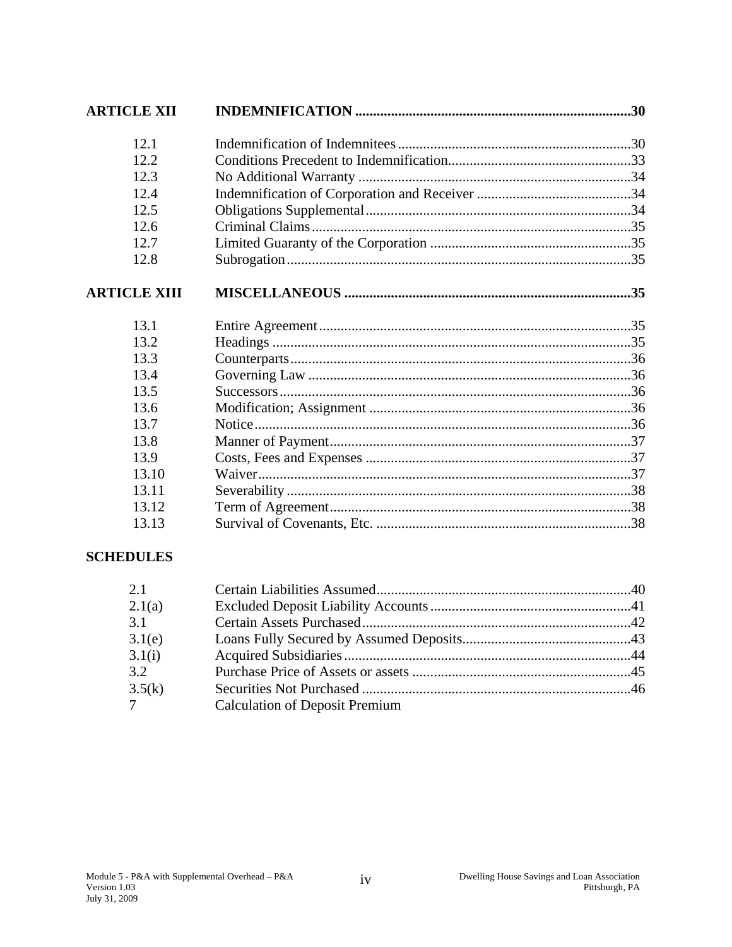| <b>ARTICLE XII</b>  |  |
|---------------------|--|
| 12.1                |  |
| 12.2                |  |
| 12.3                |  |
| 12.4                |  |
| 12.5                |  |
| 12.6                |  |
| 12.7                |  |
| 12.8                |  |
| <b>ARTICLE XIII</b> |  |
| 13.1                |  |
| 13.2                |  |
| 13.3                |  |
| 13.4                |  |
| 13.5                |  |
| 13.6                |  |
| 13.7                |  |
| 13.8                |  |
| 13.9                |  |
| 13.10               |  |
| 13.11               |  |
| 13.12               |  |
| 13.13               |  |

# **SCHEDULES**

| 2.1             |                                       |  |
|-----------------|---------------------------------------|--|
| 2.1(a)          |                                       |  |
| 3.1             |                                       |  |
| 3.1(e)          |                                       |  |
| 3.1(i)          |                                       |  |
| 3.2             |                                       |  |
| 3.5(k)          |                                       |  |
| $7\overline{ }$ | <b>Calculation of Deposit Premium</b> |  |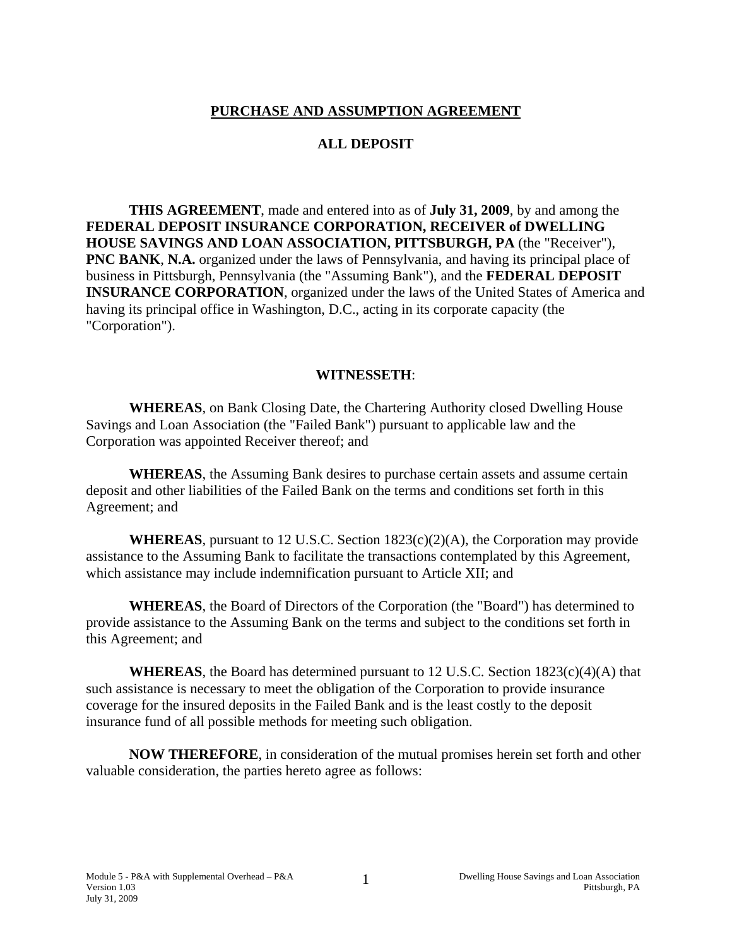### **PURCHASE AND ASSUMPTION AGREEMENT**

### **ALL DEPOSIT**

**THIS AGREEMENT**, made and entered into as of **July 31, 2009**, by and among the **FEDERAL DEPOSIT INSURANCE CORPORATION, RECEIVER of DWELLING HOUSE SAVINGS AND LOAN ASSOCIATION, PITTSBURGH, PA** (the "Receiver"), **PNC BANK**, **N.A.** organized under the laws of Pennsylvania, and having its principal place of business in Pittsburgh, Pennsylvania (the "Assuming Bank"), and the **FEDERAL DEPOSIT INSURANCE CORPORATION**, organized under the laws of the United States of America and having its principal office in Washington, D.C., acting in its corporate capacity (the "Corporation").

### **WITNESSETH**:

**WHEREAS**, on Bank Closing Date, the Chartering Authority closed Dwelling House Savings and Loan Association (the "Failed Bank") pursuant to applicable law and the Corporation was appointed Receiver thereof; and

**WHEREAS**, the Assuming Bank desires to purchase certain assets and assume certain deposit and other liabilities of the Failed Bank on the terms and conditions set forth in this Agreement; and

**WHEREAS**, pursuant to 12 U.S.C. Section 1823(c)(2)(A), the Corporation may provide assistance to the Assuming Bank to facilitate the transactions contemplated by this Agreement, which assistance may include indemnification pursuant to Article XII; and

**WHEREAS**, the Board of Directors of the Corporation (the "Board") has determined to provide assistance to the Assuming Bank on the terms and subject to the conditions set forth in this Agreement; and

**WHEREAS**, the Board has determined pursuant to 12 U.S.C. Section  $1823(c)(4)(A)$  that such assistance is necessary to meet the obligation of the Corporation to provide insurance coverage for the insured deposits in the Failed Bank and is the least costly to the deposit insurance fund of all possible methods for meeting such obligation.

**NOW THEREFORE**, in consideration of the mutual promises herein set forth and other valuable consideration, the parties hereto agree as follows: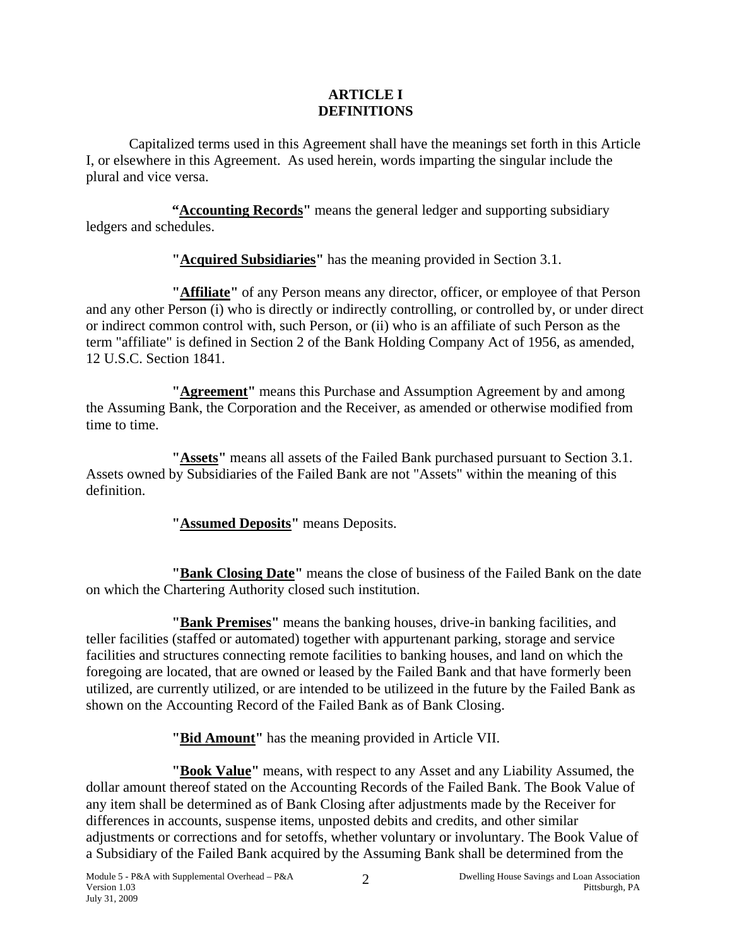### **ARTICLE I DEFINITIONS**

<span id="page-5-0"></span>Capitalized terms used in this Agreement shall have the meanings set forth in this Article I, or elsewhere in this Agreement. As used herein, words imparting the singular include the plural and vice versa.

**"Accounting Records"** means the general ledger and supporting subsidiary ledgers and schedules.

**"Acquired Subsidiaries"** has the meaning provided in Section 3.1.

**"Affiliate"** of any Person means any director, officer, or employee of that Person and any other Person (i) who is directly or indirectly controlling, or controlled by, or under direct or indirect common control with, such Person, or (ii) who is an affiliate of such Person as the term "affiliate" is defined in Section 2 of the Bank Holding Company Act of 1956, as amended, 12 U.S.C. Section 1841.

**"Agreement"** means this Purchase and Assumption Agreement by and among the Assuming Bank, the Corporation and the Receiver, as amended or otherwise modified from time to time.

**"Assets"** means all assets of the Failed Bank purchased pursuant to Section 3.1. Assets owned by Subsidiaries of the Failed Bank are not "Assets" within the meaning of this definition.

**"Assumed Deposits"** means Deposits.

**"Bank Closing Date"** means the close of business of the Failed Bank on the date on which the Chartering Authority closed such institution.

**"Bank Premises"** means the banking houses, drive-in banking facilities, and teller facilities (staffed or automated) together with appurtenant parking, storage and service facilities and structures connecting remote facilities to banking houses, and land on which the foregoing are located, that are owned or leased by the Failed Bank and that have formerly been utilized, are currently utilized, or are intended to be utilizeed in the future by the Failed Bank as shown on the Accounting Record of the Failed Bank as of Bank Closing.

**"Bid Amount"** has the meaning provided in Article VII.

**"Book Value"** means, with respect to any Asset and any Liability Assumed, the dollar amount thereof stated on the Accounting Records of the Failed Bank. The Book Value of any item shall be determined as of Bank Closing after adjustments made by the Receiver for differences in accounts, suspense items, unposted debits and credits, and other similar adjustments or corrections and for setoffs, whether voluntary or involuntary. The Book Value of a Subsidiary of the Failed Bank acquired by the Assuming Bank shall be determined from the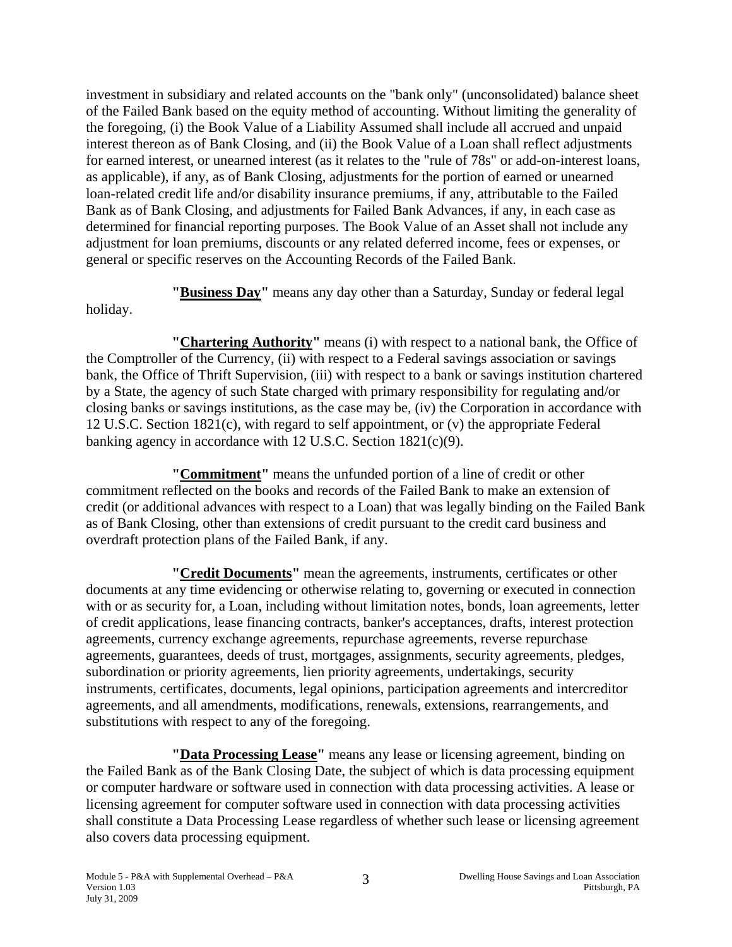investment in subsidiary and related accounts on the "bank only" (unconsolidated) balance sheet of the Failed Bank based on the equity method of accounting. Without limiting the generality of the foregoing, (i) the Book Value of a Liability Assumed shall include all accrued and unpaid interest thereon as of Bank Closing, and (ii) the Book Value of a Loan shall reflect adjustments for earned interest, or unearned interest (as it relates to the "rule of 78s" or add-on-interest loans, as applicable), if any, as of Bank Closing, adjustments for the portion of earned or unearned loan-related credit life and/or disability insurance premiums, if any, attributable to the Failed Bank as of Bank Closing, and adjustments for Failed Bank Advances, if any, in each case as determined for financial reporting purposes. The Book Value of an Asset shall not include any adjustment for loan premiums, discounts or any related deferred income, fees or expenses, or general or specific reserves on the Accounting Records of the Failed Bank.

**"Business Day"** means any day other than a Saturday, Sunday or federal legal holiday.

**"Chartering Authority"** means (i) with respect to a national bank, the Office of the Comptroller of the Currency, (ii) with respect to a Federal savings association or savings bank, the Office of Thrift Supervision, (iii) with respect to a bank or savings institution chartered by a State, the agency of such State charged with primary responsibility for regulating and/or closing banks or savings institutions, as the case may be, (iv) the Corporation in accordance with 12 U.S.C. Section 1821(c), with regard to self appointment, or (v) the appropriate Federal banking agency in accordance with 12 U.S.C. Section 1821(c)(9).

**"Commitment"** means the unfunded portion of a line of credit or other commitment reflected on the books and records of the Failed Bank to make an extension of credit (or additional advances with respect to a Loan) that was legally binding on the Failed Bank as of Bank Closing, other than extensions of credit pursuant to the credit card business and overdraft protection plans of the Failed Bank, if any.

**"Credit Documents"** mean the agreements, instruments, certificates or other documents at any time evidencing or otherwise relating to, governing or executed in connection with or as security for, a Loan, including without limitation notes, bonds, loan agreements, letter of credit applications, lease financing contracts, banker's acceptances, drafts, interest protection agreements, currency exchange agreements, repurchase agreements, reverse repurchase agreements, guarantees, deeds of trust, mortgages, assignments, security agreements, pledges, subordination or priority agreements, lien priority agreements, undertakings, security instruments, certificates, documents, legal opinions, participation agreements and intercreditor agreements, and all amendments, modifications, renewals, extensions, rearrangements, and substitutions with respect to any of the foregoing.

**"Data Processing Lease"** means any lease or licensing agreement, binding on the Failed Bank as of the Bank Closing Date, the subject of which is data processing equipment or computer hardware or software used in connection with data processing activities. A lease or licensing agreement for computer software used in connection with data processing activities shall constitute a Data Processing Lease regardless of whether such lease or licensing agreement also covers data processing equipment.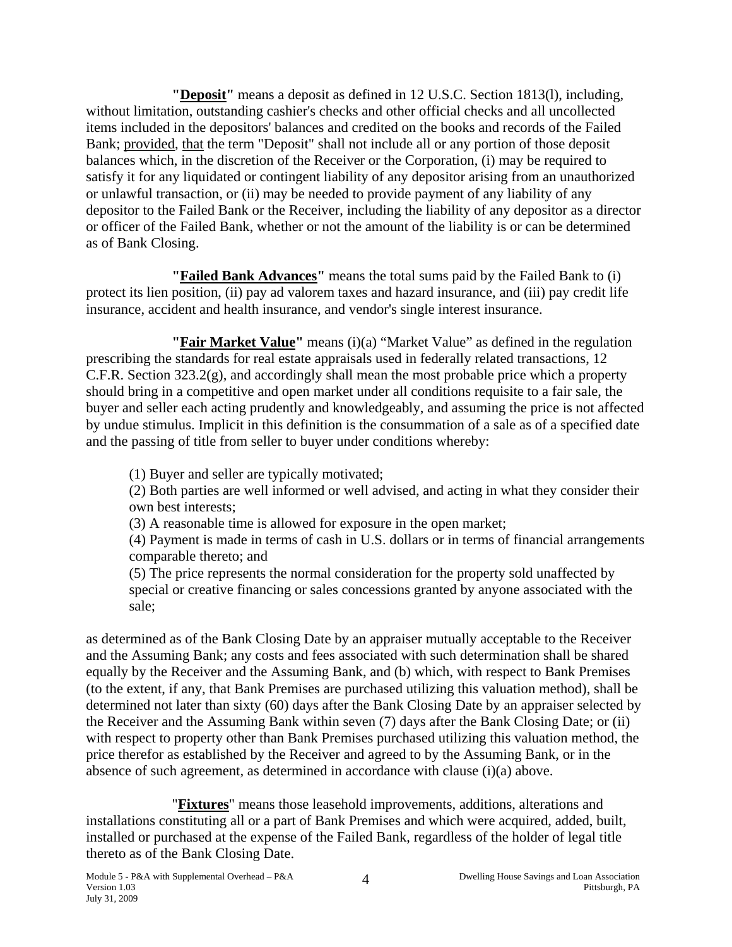**"Deposit"** means a deposit as defined in 12 U.S.C. Section 1813(l), including, without limitation, outstanding cashier's checks and other official checks and all uncollected items included in the depositors' balances and credited on the books and records of the Failed Bank; provided, that the term "Deposit" shall not include all or any portion of those deposit balances which, in the discretion of the Receiver or the Corporation, (i) may be required to satisfy it for any liquidated or contingent liability of any depositor arising from an unauthorized or unlawful transaction, or (ii) may be needed to provide payment of any liability of any depositor to the Failed Bank or the Receiver, including the liability of any depositor as a director or officer of the Failed Bank, whether or not the amount of the liability is or can be determined as of Bank Closing.

**"Failed Bank Advances"** means the total sums paid by the Failed Bank to (i) protect its lien position, (ii) pay ad valorem taxes and hazard insurance, and (iii) pay credit life insurance, accident and health insurance, and vendor's single interest insurance.

**"Fair Market Value"** means (i)(a) "Market Value" as defined in the regulation prescribing the standards for real estate appraisals used in federally related transactions, 12 C.F.R. Section 323.2(g), and accordingly shall mean the most probable price which a property should bring in a competitive and open market under all conditions requisite to a fair sale, the buyer and seller each acting prudently and knowledgeably, and assuming the price is not affected by undue stimulus. Implicit in this definition is the consummation of a sale as of a specified date and the passing of title from seller to buyer under conditions whereby:

(1) Buyer and seller are typically motivated;

(2) Both parties are well informed or well advised, and acting in what they consider their own best interests;

(3) A reasonable time is allowed for exposure in the open market;

(4) Payment is made in terms of cash in U.S. dollars or in terms of financial arrangements comparable thereto; and

(5) The price represents the normal consideration for the property sold unaffected by special or creative financing or sales concessions granted by anyone associated with the sale;

as determined as of the Bank Closing Date by an appraiser mutually acceptable to the Receiver and the Assuming Bank; any costs and fees associated with such determination shall be shared equally by the Receiver and the Assuming Bank, and (b) which, with respect to Bank Premises (to the extent, if any, that Bank Premises are purchased utilizing this valuation method), shall be determined not later than sixty (60) days after the Bank Closing Date by an appraiser selected by the Receiver and the Assuming Bank within seven (7) days after the Bank Closing Date; or (ii) with respect to property other than Bank Premises purchased utilizing this valuation method, the price therefor as established by the Receiver and agreed to by the Assuming Bank, or in the absence of such agreement, as determined in accordance with clause (i)(a) above.

"**Fixtures**" means those leasehold improvements, additions, alterations and installations constituting all or a part of Bank Premises and which were acquired, added, built, installed or purchased at the expense of the Failed Bank, regardless of the holder of legal title thereto as of the Bank Closing Date.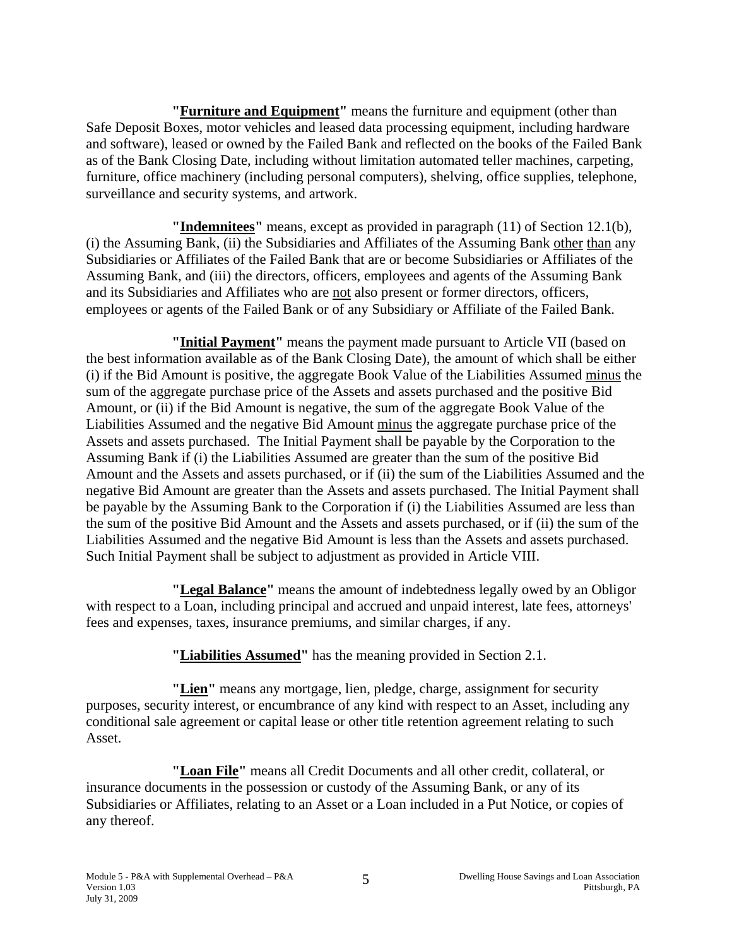**"Furniture and Equipment"** means the furniture and equipment (other than Safe Deposit Boxes, motor vehicles and leased data processing equipment, including hardware and software), leased or owned by the Failed Bank and reflected on the books of the Failed Bank as of the Bank Closing Date, including without limitation automated teller machines, carpeting, furniture, office machinery (including personal computers), shelving, office supplies, telephone, surveillance and security systems, and artwork.

**"Indemnitees"** means, except as provided in paragraph (11) of Section 12.1(b), (i) the Assuming Bank, (ii) the Subsidiaries and Affiliates of the Assuming Bank other than any Subsidiaries or Affiliates of the Failed Bank that are or become Subsidiaries or Affiliates of the Assuming Bank, and (iii) the directors, officers, employees and agents of the Assuming Bank and its Subsidiaries and Affiliates who are not also present or former directors, officers, employees or agents of the Failed Bank or of any Subsidiary or Affiliate of the Failed Bank.

**"Initial Payment"** means the payment made pursuant to Article VII (based on the best information available as of the Bank Closing Date), the amount of which shall be either (i) if the Bid Amount is positive, the aggregate Book Value of the Liabilities Assumed minus the sum of the aggregate purchase price of the Assets and assets purchased and the positive Bid Amount, or (ii) if the Bid Amount is negative, the sum of the aggregate Book Value of the Liabilities Assumed and the negative Bid Amount minus the aggregate purchase price of the Assets and assets purchased. The Initial Payment shall be payable by the Corporation to the Assuming Bank if (i) the Liabilities Assumed are greater than the sum of the positive Bid Amount and the Assets and assets purchased, or if (ii) the sum of the Liabilities Assumed and the negative Bid Amount are greater than the Assets and assets purchased. The Initial Payment shall be payable by the Assuming Bank to the Corporation if (i) the Liabilities Assumed are less than the sum of the positive Bid Amount and the Assets and assets purchased, or if (ii) the sum of the Liabilities Assumed and the negative Bid Amount is less than the Assets and assets purchased. Such Initial Payment shall be subject to adjustment as provided in Article VIII.

**"Legal Balance"** means the amount of indebtedness legally owed by an Obligor with respect to a Loan, including principal and accrued and unpaid interest, late fees, attorneys' fees and expenses, taxes, insurance premiums, and similar charges, if any.

**"Liabilities Assumed"** has the meaning provided in Section 2.1.

**"Lien"** means any mortgage, lien, pledge, charge, assignment for security purposes, security interest, or encumbrance of any kind with respect to an Asset, including any conditional sale agreement or capital lease or other title retention agreement relating to such Asset.

any thereof. **"Loan File"** means all Credit Documents and all other credit, collateral, or insurance documents in the possession or custody of the Assuming Bank, or any of its Subsidiaries or Affiliates, relating to an Asset or a Loan included in a Put Notice, or copies of any thereof.<br>
Module 5 - P&A with Supplemental Overhead – P&A 5<br>
Version 1.03 Pittsburgh, PA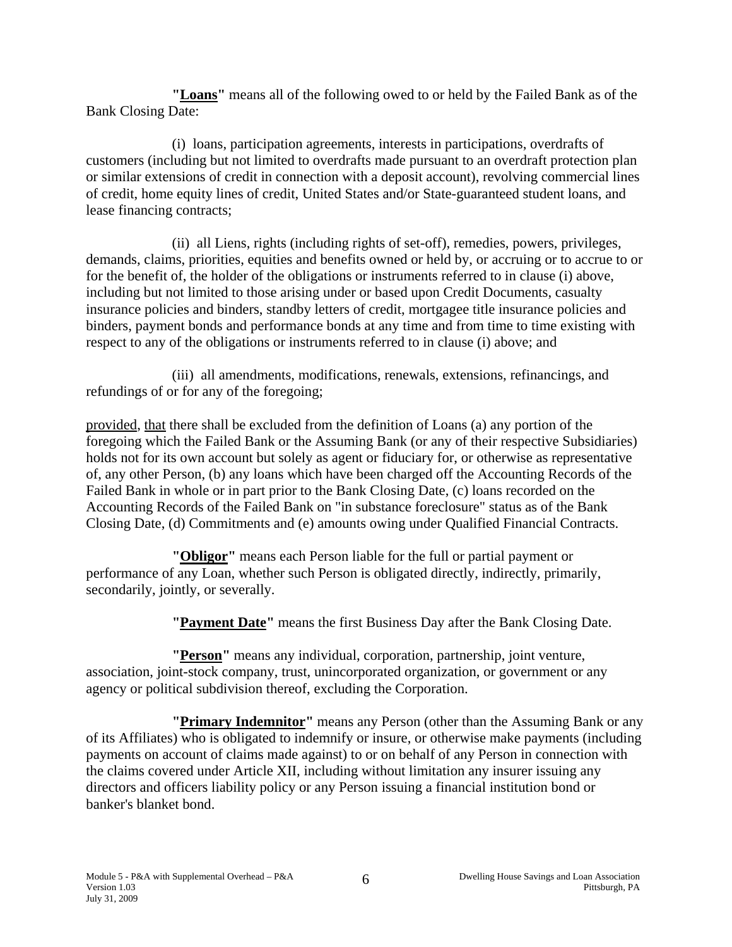**"Loans"** means all of the following owed to or held by the Failed Bank as of the Bank Closing Date:

(i) loans, participation agreements, interests in participations, overdrafts of customers (including but not limited to overdrafts made pursuant to an overdraft protection plan or similar extensions of credit in connection with a deposit account), revolving commercial lines of credit, home equity lines of credit, United States and/or State-guaranteed student loans, and lease financing contracts;

(ii) all Liens, rights (including rights of set-off), remedies, powers, privileges, demands, claims, priorities, equities and benefits owned or held by, or accruing or to accrue to or for the benefit of, the holder of the obligations or instruments referred to in clause (i) above, including but not limited to those arising under or based upon Credit Documents, casualty insurance policies and binders, standby letters of credit, mortgagee title insurance policies and binders, payment bonds and performance bonds at any time and from time to time existing with respect to any of the obligations or instruments referred to in clause (i) above; and

(iii) all amendments, modifications, renewals, extensions, refinancings, and refundings of or for any of the foregoing;

provided, that there shall be excluded from the definition of Loans (a) any portion of the foregoing which the Failed Bank or the Assuming Bank (or any of their respective Subsidiaries) holds not for its own account but solely as agent or fiduciary for, or otherwise as representative of, any other Person, (b) any loans which have been charged off the Accounting Records of the Failed Bank in whole or in part prior to the Bank Closing Date, (c) loans recorded on the Accounting Records of the Failed Bank on "in substance foreclosure" status as of the Bank Closing Date, (d) Commitments and (e) amounts owing under Qualified Financial Contracts.

**"Obligor"** means each Person liable for the full or partial payment or performance of any Loan, whether such Person is obligated directly, indirectly, primarily, secondarily, jointly, or severally.

**"Payment Date"** means the first Business Day after the Bank Closing Date.

**"Person"** means any individual, corporation, partnership, joint venture, association, joint-stock company, trust, unincorporated organization, or government or any agency or political subdivision thereof, excluding the Corporation.

**"Primary Indemnitor"** means any Person (other than the Assuming Bank or any of its Affiliates) who is obligated to indemnify or insure, or otherwise make payments (including payments on account of claims made against) to or on behalf of any Person in connection with the claims covered under Article XII, including without limitation any insurer issuing any directors and officers liability policy or any Person issuing a financial institution bond or banker's blanket bond.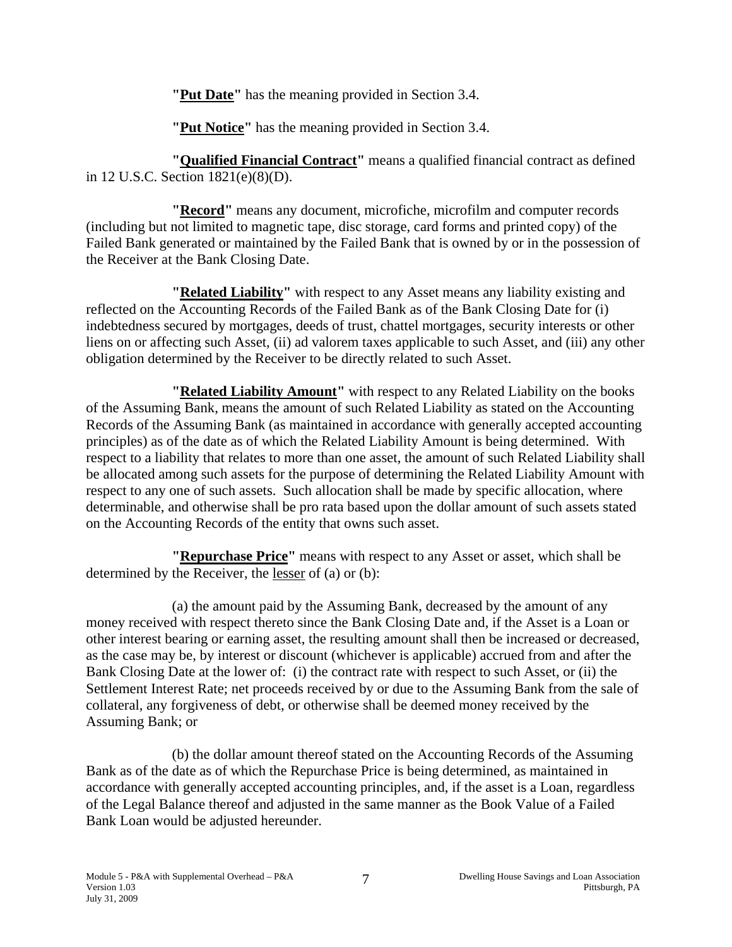**"Put Date"** has the meaning provided in Section 3.4.

**"Put Notice"** has the meaning provided in Section 3.4.

<span id="page-10-0"></span>**"Qualified Financial Contract"** means a qualified financial contract as defined in 12 U.S.C. Section 1821(e)(8)(D).

**"Record"** means any document, microfiche, microfilm and computer records (including but not limited to magnetic tape, disc storage, card forms and printed copy) of the Failed Bank generated or maintained by the Failed Bank that is owned by or in the possession of the Receiver at the Bank Closing Date.

**"Related Liability"** with respect to any Asset means any liability existing and reflected on the Accounting Records of the Failed Bank as of the Bank Closing Date for (i) indebtedness secured by mortgages, deeds of trust, chattel mortgages, security interests or other liens on or affecting such Asset, (ii) ad valorem taxes applicable to such Asset, and (iii) any other obligation determined by the Receiver to be directly related to such Asset.

**"Related Liability Amount"** with respect to any Related Liability on the books of the Assuming Bank, means the amount of such Related Liability as stated on the Accounting Records of the Assuming Bank (as maintained in accordance with generally accepted accounting principles) as of the date as of which the Related Liability Amount is being determined. With respect to a liability that relates to more than one asset, the amount of such Related Liability shall be allocated among such assets for the purpose of determining the Related Liability Amount with respect to any one of such assets. Such allocation shall be made by specific allocation, where determinable, and otherwise shall be pro rata based upon the dollar amount of such assets stated on the Accounting Records of the entity that owns such asset.

**"Repurchase Price"** means with respect to any Asset or asset, which shall be determined by the Receiver, the lesser of (a) or (b):

(a) the amount paid by the Assuming Bank, decreased by the amount of any money received with respect thereto since the Bank Closing Date and, if the Asset is a Loan or other interest bearing or earning asset, the resulting amount shall then be increased or decreased, as the case may be, by interest or discount (whichever is applicable) accrued from and after the Bank Closing Date at the lower of: (i) the contract rate with respect to such Asset, or (ii) the Settlement Interest Rate; net proceeds received by or due to the Assuming Bank from the sale of collateral, any forgiveness of debt, or otherwise shall be deemed money received by the Assuming Bank; or

(b) the dollar amount thereof stated on the Accounting Records of the Assuming Bank as of the date as of which the Repurchase Price is being determined, as maintained in accordance with generally accepted accounting principles, and, if the asset is a Loan, regardless of the Legal Balance thereof and adjusted in the same manner as the Book Value of a Failed Bank Loan would be adjusted hereunder.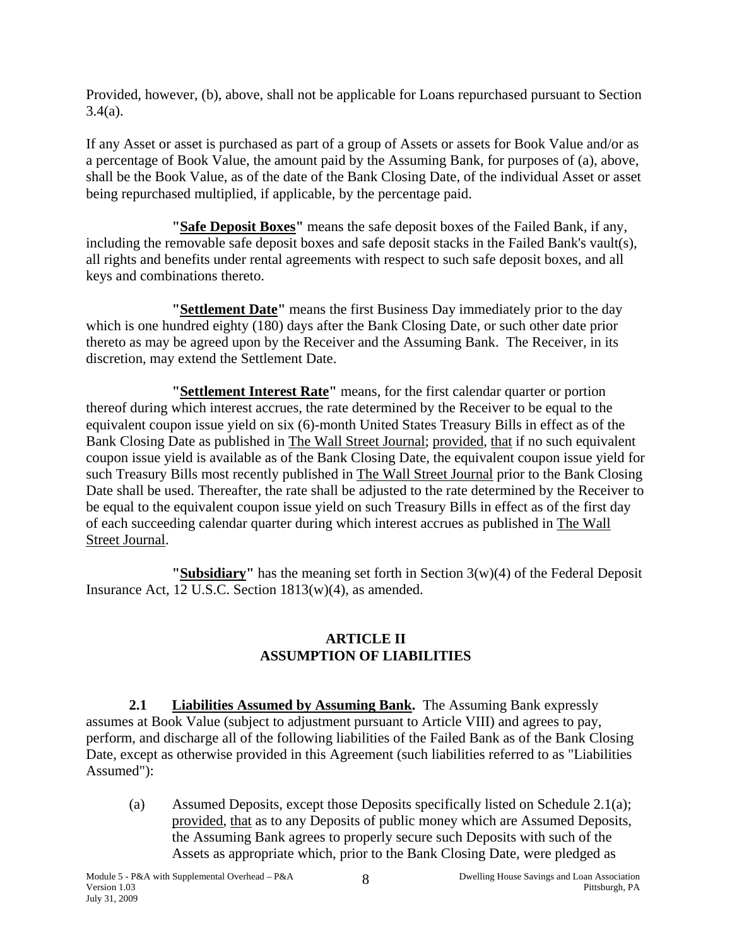<span id="page-11-0"></span>Provided, however, (b), above, shall not be applicable for Loans repurchased pursuant to Section  $3.4(a)$ .

If any Asset or asset is purchased as part of a group of Assets or assets for Book Value and/or as a percentage of Book Value, the amount paid by the Assuming Bank, for purposes of (a), above, shall be the Book Value, as of the date of the Bank Closing Date, of the individual Asset or asset being repurchased multiplied, if applicable, by the percentage paid.

**"Safe Deposit Boxes"** means the safe deposit boxes of the Failed Bank, if any, including the removable safe deposit boxes and safe deposit stacks in the Failed Bank's vault(s), all rights and benefits under rental agreements with respect to such safe deposit boxes, and all keys and combinations thereto.

**"Settlement Date"** means the first Business Day immediately prior to the day which is one hundred eighty (180) days after the Bank Closing Date, or such other date prior thereto as may be agreed upon by the Receiver and the Assuming Bank. The Receiver, in its discretion, may extend the Settlement Date.

**"Settlement Interest Rate"** means, for the first calendar quarter or portion thereof during which interest accrues, the rate determined by the Receiver to be equal to the equivalent coupon issue yield on six (6)-month United States Treasury Bills in effect as of the Bank Closing Date as published in The Wall Street Journal; provided, that if no such equivalent coupon issue yield is available as of the Bank Closing Date, the equivalent coupon issue yield for such Treasury Bills most recently published in The Wall Street Journal prior to the Bank Closing Date shall be used. Thereafter, the rate shall be adjusted to the rate determined by the Receiver to be equal to the equivalent coupon issue yield on such Treasury Bills in effect as of the first day of each succeeding calendar quarter during which interest accrues as published in The Wall Street Journal.

**"Subsidiary"** has the meaning set forth in Section 3(w)(4) of the Federal Deposit Insurance Act, 12 U.S.C. Section 1813(w)(4), as amended.

# **ARTICLE II ASSUMPTION OF LIABILITIES**

**2.1 Liabilities Assumed by Assuming Bank.** The Assuming Bank expressly assumes at Book Value (subject to adjustment pursuant to Article VIII) and agrees to pay, perform, and discharge all of the following liabilities of the Failed Bank as of the Bank Closing Date, except as otherwise provided in this Agreement (such liabilities referred to as "Liabilities Assumed"):

(a) Assumed Deposits, except those Deposits specifically listed on Schedule 2.1(a); provided, that as to any Deposits of public money which are Assumed Deposits, the Assuming Bank agrees to properly secure such Deposits with such of the Assets as appropriate which, prior to the Bank Closing Date, were pledged as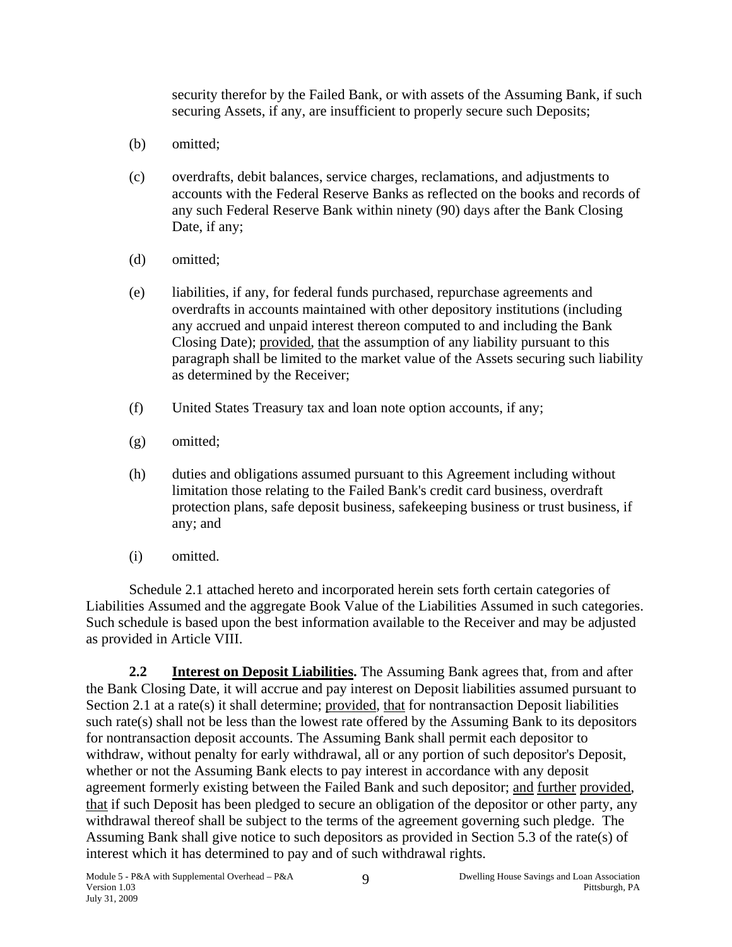security therefor by the Failed Bank, or with assets of the Assuming Bank, if such securing Assets, if any, are insufficient to properly secure such Deposits;

- <span id="page-12-0"></span>(b) omitted;
- (c) overdrafts, debit balances, service charges, reclamations, and adjustments to accounts with the Federal Reserve Banks as reflected on the books and records of any such Federal Reserve Bank within ninety (90) days after the Bank Closing Date, if any;
- (d) omitted;
- (e) liabilities, if any, for federal funds purchased, repurchase agreements and overdrafts in accounts maintained with other depository institutions (including any accrued and unpaid interest thereon computed to and including the Bank Closing Date); provided, that the assumption of any liability pursuant to this paragraph shall be limited to the market value of the Assets securing such liability as determined by the Receiver;
- (f) United States Treasury tax and loan note option accounts, if any;
- (g) omitted;
- (h) duties and obligations assumed pursuant to this Agreement including without limitation those relating to the Failed Bank's credit card business, overdraft protection plans, safe deposit business, safekeeping business or trust business, if any; and
- (i) omitted.

Schedule 2.1 attached hereto and incorporated herein sets forth certain categories of Liabilities Assumed and the aggregate Book Value of the Liabilities Assumed in such categories. Such schedule is based upon the best information available to the Receiver and may be adjusted as provided in Article VIII.

**2.2 Interest on Deposit Liabilities.** The Assuming Bank agrees that, from and after the Bank Closing Date, it will accrue and pay interest on Deposit liabilities assumed pursuant to Section 2.1 at a rate(s) it shall determine; provided, that for nontransaction Deposit liabilities such rate(s) shall not be less than the lowest rate offered by the Assuming Bank to its depositors for nontransaction deposit accounts. The Assuming Bank shall permit each depositor to withdraw, without penalty for early withdrawal, all or any portion of such depositor's Deposit, whether or not the Assuming Bank elects to pay interest in accordance with any deposit agreement formerly existing between the Failed Bank and such depositor; and further provided, that if such Deposit has been pledged to secure an obligation of the depositor or other party, any withdrawal thereof shall be subject to the terms of the agreement governing such pledge. The Assuming Bank shall give notice to such depositors as provided in Section 5.3 of the rate(s) of interest which it has determined to pay and of such withdrawal rights.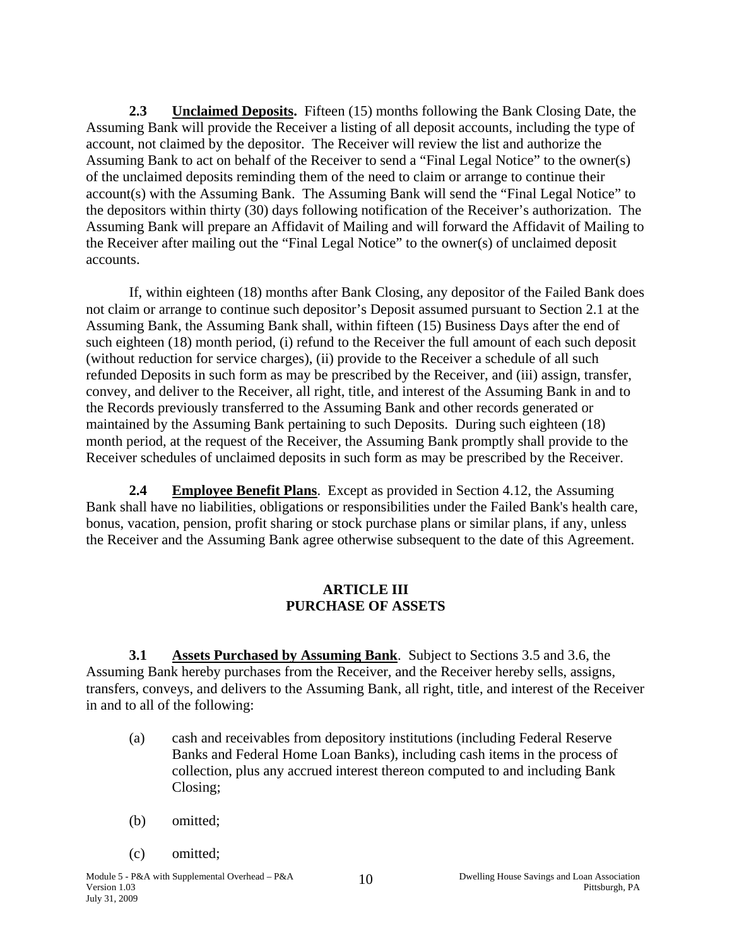<span id="page-13-0"></span>**2.3 Unclaimed Deposits.** Fifteen (15) months following the Bank Closing Date, the Assuming Bank will provide the Receiver a listing of all deposit accounts, including the type of account, not claimed by the depositor. The Receiver will review the list and authorize the Assuming Bank to act on behalf of the Receiver to send a "Final Legal Notice" to the owner(s) of the unclaimed deposits reminding them of the need to claim or arrange to continue their account(s) with the Assuming Bank. The Assuming Bank will send the "Final Legal Notice" to the depositors within thirty (30) days following notification of the Receiver's authorization. The Assuming Bank will prepare an Affidavit of Mailing and will forward the Affidavit of Mailing to the Receiver after mailing out the "Final Legal Notice" to the owner(s) of unclaimed deposit accounts.

If, within eighteen (18) months after Bank Closing, any depositor of the Failed Bank does not claim or arrange to continue such depositor's Deposit assumed pursuant to Section 2.1 at the Assuming Bank, the Assuming Bank shall, within fifteen (15) Business Days after the end of such eighteen (18) month period, (i) refund to the Receiver the full amount of each such deposit (without reduction for service charges), (ii) provide to the Receiver a schedule of all such refunded Deposits in such form as may be prescribed by the Receiver, and (iii) assign, transfer, convey, and deliver to the Receiver, all right, title, and interest of the Assuming Bank in and to the Records previously transferred to the Assuming Bank and other records generated or maintained by the Assuming Bank pertaining to such Deposits. During such eighteen (18) month period, at the request of the Receiver, the Assuming Bank promptly shall provide to the Receiver schedules of unclaimed deposits in such form as may be prescribed by the Receiver.

**2.4 Employee Benefit Plans**. Except as provided in Section 4.12, the Assuming Bank shall have no liabilities, obligations or responsibilities under the Failed Bank's health care, bonus, vacation, pension, profit sharing or stock purchase plans or similar plans, if any, unless the Receiver and the Assuming Bank agree otherwise subsequent to the date of this Agreement.

### **ARTICLE III PURCHASE OF ASSETS**

**3.1 Assets Purchased by Assuming Bank**. Subject to Sections 3.5 and 3.6, the Assuming Bank hereby purchases from the Receiver, and the Receiver hereby sells, assigns, transfers, conveys, and delivers to the Assuming Bank, all right, title, and interest of the Receiver in and to all of the following:

- (a) cash and receivables from depository institutions (including Federal Reserve Banks and Federal Home Loan Banks), including cash items in the process of collection, plus any accrued interest thereon computed to and including Bank Closing;
- (b) omitted;
- (c) omitted;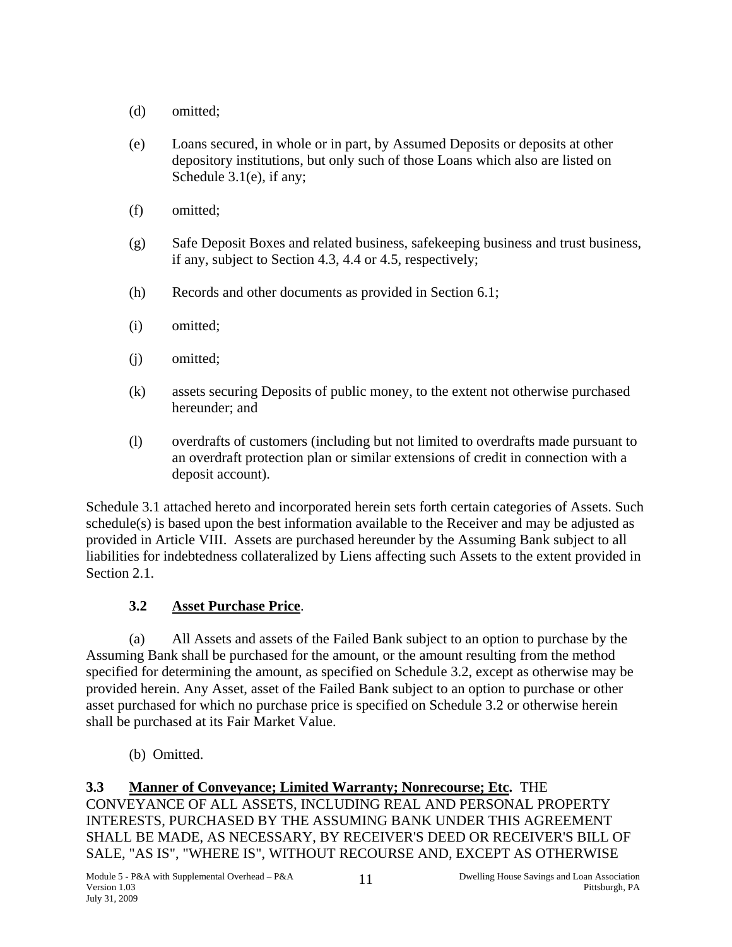- <span id="page-14-0"></span>(d) omitted;
- (e) Loans secured, in whole or in part, by Assumed Deposits or deposits at other depository institutions, but only such of those Loans which also are listed on Schedule 3.1(e), if any;
- (f) omitted;
- (g) Safe Deposit Boxes and related business, safekeeping business and trust business, if any, subject to Section 4.3, 4.4 or 4.5, respectively;
- (h) Records and other documents as provided in Section 6.1;
- (i) omitted:
- (j) omitted;
- (k) assets securing Deposits of public money, to the extent not otherwise purchased hereunder; and
- (l) overdrafts of customers (including but not limited to overdrafts made pursuant to an overdraft protection plan or similar extensions of credit in connection with a deposit account).

Schedule 3.1 attached hereto and incorporated herein sets forth certain categories of Assets. Such schedule(s) is based upon the best information available to the Receiver and may be adjusted as provided in Article VIII. Assets are purchased hereunder by the Assuming Bank subject to all liabilities for indebtedness collateralized by Liens affecting such Assets to the extent provided in Section 2.1.

# **3.2 Asset Purchase Price**.

(a) All Assets and assets of the Failed Bank subject to an option to purchase by the Assuming Bank shall be purchased for the amount, or the amount resulting from the method specified for determining the amount, as specified on Schedule 3.2, except as otherwise may be provided herein. Any Asset, asset of the Failed Bank subject to an option to purchase or other asset purchased for which no purchase price is specified on Schedule 3.2 or otherwise herein shall be purchased at its Fair Market Value.

(b) Omitted.

**3.3 Manner of Conveyance; Limited Warranty; Nonrecourse; Etc.** THE CONVEYANCE OF ALL ASSETS, INCLUDING REAL AND PERSONAL PROPERTY INTERESTS, PURCHASED BY THE ASSUMING BANK UNDER THIS AGREEMENT SHALL BE MADE, AS NECESSARY, BY RECEIVER'S DEED OR RECEIVER'S BILL OF SALE, "AS IS", "WHERE IS", WITHOUT RECOURSE AND, EXCEPT AS OTHERWISE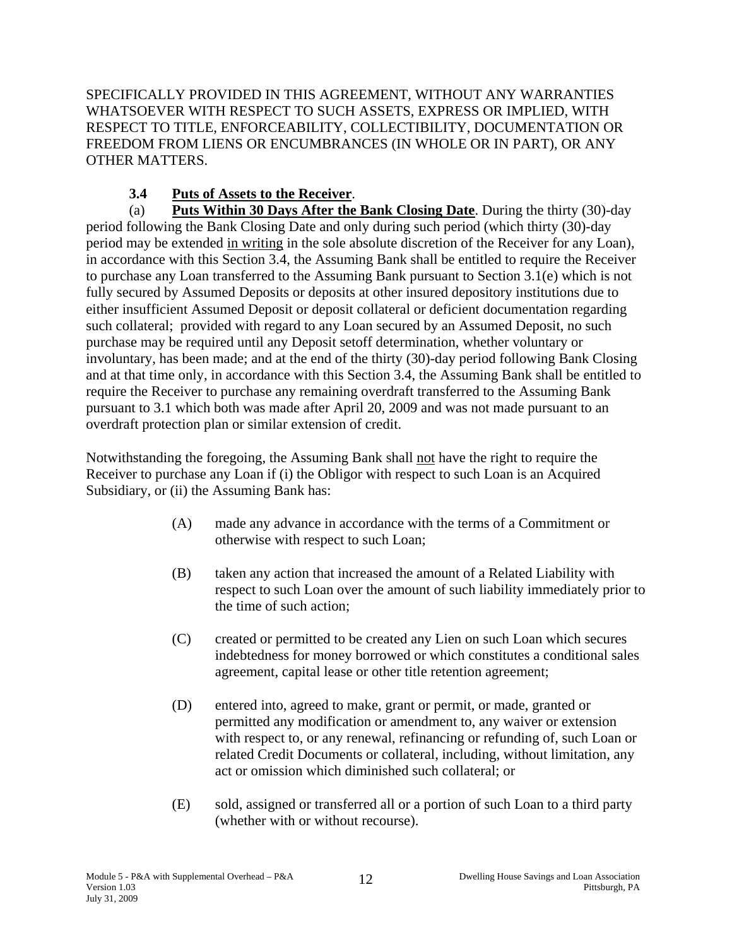<span id="page-15-0"></span>SPECIFICALLY PROVIDED IN THIS AGREEMENT, WITHOUT ANY WARRANTIES WHATSOEVER WITH RESPECT TO SUCH ASSETS, EXPRESS OR IMPLIED, WITH RESPECT TO TITLE, ENFORCEABILITY, COLLECTIBILITY, DOCUMENTATION OR FREEDOM FROM LIENS OR ENCUMBRANCES (IN WHOLE OR IN PART), OR ANY OTHER MATTERS.

# **3.4 Puts of Assets to the Receiver**.

(a) **Puts Within 30 Days After the Bank Closing Date**. During the thirty (30)-day period following the Bank Closing Date and only during such period (which thirty (30)-day period may be extended in writing in the sole absolute discretion of the Receiver for any Loan), in accordance with this Section 3.4, the Assuming Bank shall be entitled to require the Receiver to purchase any Loan transferred to the Assuming Bank pursuant to Section 3.1(e) which is not fully secured by Assumed Deposits or deposits at other insured depository institutions due to either insufficient Assumed Deposit or deposit collateral or deficient documentation regarding such collateral; provided with regard to any Loan secured by an Assumed Deposit, no such purchase may be required until any Deposit setoff determination, whether voluntary or involuntary, has been made; and at the end of the thirty (30)-day period following Bank Closing and at that time only, in accordance with this Section 3.4, the Assuming Bank shall be entitled to require the Receiver to purchase any remaining overdraft transferred to the Assuming Bank pursuant to 3.1 which both was made after April 20, 2009 and was not made pursuant to an overdraft protection plan or similar extension of credit.

Notwithstanding the foregoing, the Assuming Bank shall not have the right to require the Receiver to purchase any Loan if (i) the Obligor with respect to such Loan is an Acquired Subsidiary, or (ii) the Assuming Bank has:

- (A) made any advance in accordance with the terms of a Commitment or otherwise with respect to such Loan;
- (B) taken any action that increased the amount of a Related Liability with respect to such Loan over the amount of such liability immediately prior to the time of such action;
- (C) created or permitted to be created any Lien on such Loan which secures indebtedness for money borrowed or which constitutes a conditional sales agreement, capital lease or other title retention agreement;
- (D) entered into, agreed to make, grant or permit, or made, granted or permitted any modification or amendment to, any waiver or extension with respect to, or any renewal, refinancing or refunding of, such Loan or related Credit Documents or collateral, including, without limitation, any act or omission which diminished such collateral; or
- (E) sold, assigned or transferred all or a portion of such Loan to a third party (whether with or without recourse).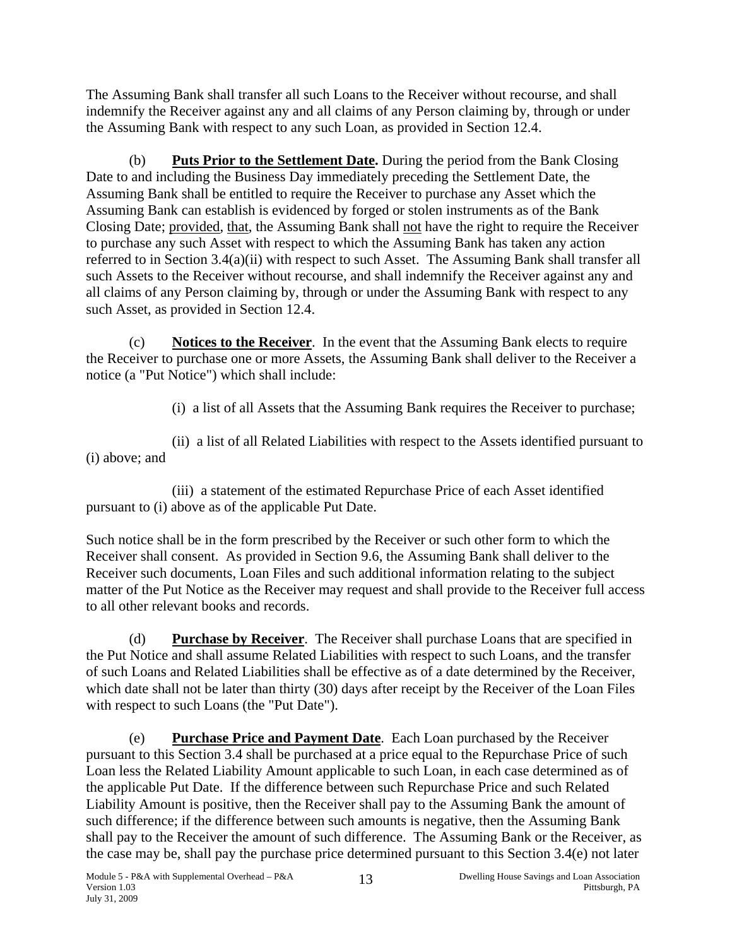The Assuming Bank shall transfer all such Loans to the Receiver without recourse, and shall indemnify the Receiver against any and all claims of any Person claiming by, through or under the Assuming Bank with respect to any such Loan, as provided in Section 12.4.

(b) **Puts Prior to the Settlement Date.** During the period from the Bank Closing Date to and including the Business Day immediately preceding the Settlement Date, the Assuming Bank shall be entitled to require the Receiver to purchase any Asset which the Assuming Bank can establish is evidenced by forged or stolen instruments as of the Bank Closing Date; provided, that, the Assuming Bank shall not have the right to require the Receiver to purchase any such Asset with respect to which the Assuming Bank has taken any action referred to in Section 3.4(a)(ii) with respect to such Asset. The Assuming Bank shall transfer all such Assets to the Receiver without recourse, and shall indemnify the Receiver against any and all claims of any Person claiming by, through or under the Assuming Bank with respect to any such Asset, as provided in Section 12.4.

(c) **Notices to the Receiver**. In the event that the Assuming Bank elects to require the Receiver to purchase one or more Assets, the Assuming Bank shall deliver to the Receiver a notice (a "Put Notice") which shall include:

(i) a list of all Assets that the Assuming Bank requires the Receiver to purchase;

(ii) a list of all Related Liabilities with respect to the Assets identified pursuant to (i) above; and

(iii) a statement of the estimated Repurchase Price of each Asset identified pursuant to (i) above as of the applicable Put Date.

Such notice shall be in the form prescribed by the Receiver or such other form to which the Receiver shall consent. As provided in Section 9.6, the Assuming Bank shall deliver to the Receiver such documents, Loan Files and such additional information relating to the subject matter of the Put Notice as the Receiver may request and shall provide to the Receiver full access to all other relevant books and records.

(d) **Purchase by Receiver**. The Receiver shall purchase Loans that are specified in the Put Notice and shall assume Related Liabilities with respect to such Loans, and the transfer of such Loans and Related Liabilities shall be effective as of a date determined by the Receiver, which date shall not be later than thirty (30) days after receipt by the Receiver of the Loan Files with respect to such Loans (the "Put Date").

(e) **Purchase Price and Payment Date**. Each Loan purchased by the Receiver pursuant to this Section 3.4 shall be purchased at a price equal to the Repurchase Price of such Loan less the Related Liability Amount applicable to such Loan, in each case determined as of the applicable Put Date. If the difference between such Repurchase Price and such Related Liability Amount is positive, then the Receiver shall pay to the Assuming Bank the amount of such difference; if the difference between such amounts is negative, then the Assuming Bank shall pay to the Receiver the amount of such difference. The Assuming Bank or the Receiver, as the case may be, shall pay the purchase price determined pursuant to this Section 3.4(e) not later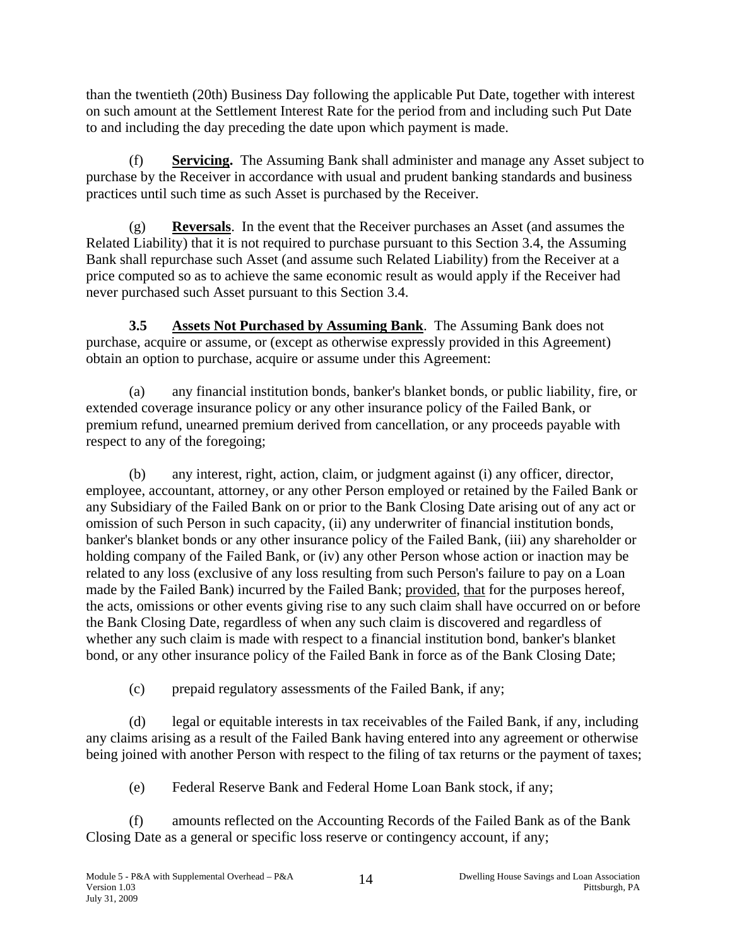<span id="page-17-0"></span>than the twentieth (20th) Business Day following the applicable Put Date, together with interest on such amount at the Settlement Interest Rate for the period from and including such Put Date to and including the day preceding the date upon which payment is made.

(f) **Servicing.** The Assuming Bank shall administer and manage any Asset subject to purchase by the Receiver in accordance with usual and prudent banking standards and business practices until such time as such Asset is purchased by the Receiver.

(g) **Reversals**. In the event that the Receiver purchases an Asset (and assumes the Related Liability) that it is not required to purchase pursuant to this Section 3.4, the Assuming Bank shall repurchase such Asset (and assume such Related Liability) from the Receiver at a price computed so as to achieve the same economic result as would apply if the Receiver had never purchased such Asset pursuant to this Section 3.4.

**3.5 Assets Not Purchased by Assuming Bank**. The Assuming Bank does not purchase, acquire or assume, or (except as otherwise expressly provided in this Agreement) obtain an option to purchase, acquire or assume under this Agreement:

(a) any financial institution bonds, banker's blanket bonds, or public liability, fire, or extended coverage insurance policy or any other insurance policy of the Failed Bank, or premium refund, unearned premium derived from cancellation, or any proceeds payable with respect to any of the foregoing;

(b) any interest, right, action, claim, or judgment against (i) any officer, director, employee, accountant, attorney, or any other Person employed or retained by the Failed Bank or any Subsidiary of the Failed Bank on or prior to the Bank Closing Date arising out of any act or omission of such Person in such capacity, (ii) any underwriter of financial institution bonds, banker's blanket bonds or any other insurance policy of the Failed Bank, (iii) any shareholder or holding company of the Failed Bank, or (iv) any other Person whose action or inaction may be related to any loss (exclusive of any loss resulting from such Person's failure to pay on a Loan made by the Failed Bank) incurred by the Failed Bank; provided, that for the purposes hereof, the acts, omissions or other events giving rise to any such claim shall have occurred on or before the Bank Closing Date, regardless of when any such claim is discovered and regardless of whether any such claim is made with respect to a financial institution bond, banker's blanket bond, or any other insurance policy of the Failed Bank in force as of the Bank Closing Date;

(c) prepaid regulatory assessments of the Failed Bank, if any;

(d) legal or equitable interests in tax receivables of the Failed Bank, if any, including any claims arising as a result of the Failed Bank having entered into any agreement or otherwise being joined with another Person with respect to the filing of tax returns or the payment of taxes;

(e) Federal Reserve Bank and Federal Home Loan Bank stock, if any;

(f) amounts reflected on the Accounting Records of the Failed Bank as of the Bank Closing Date as a general or specific loss reserve or contingency account, if any;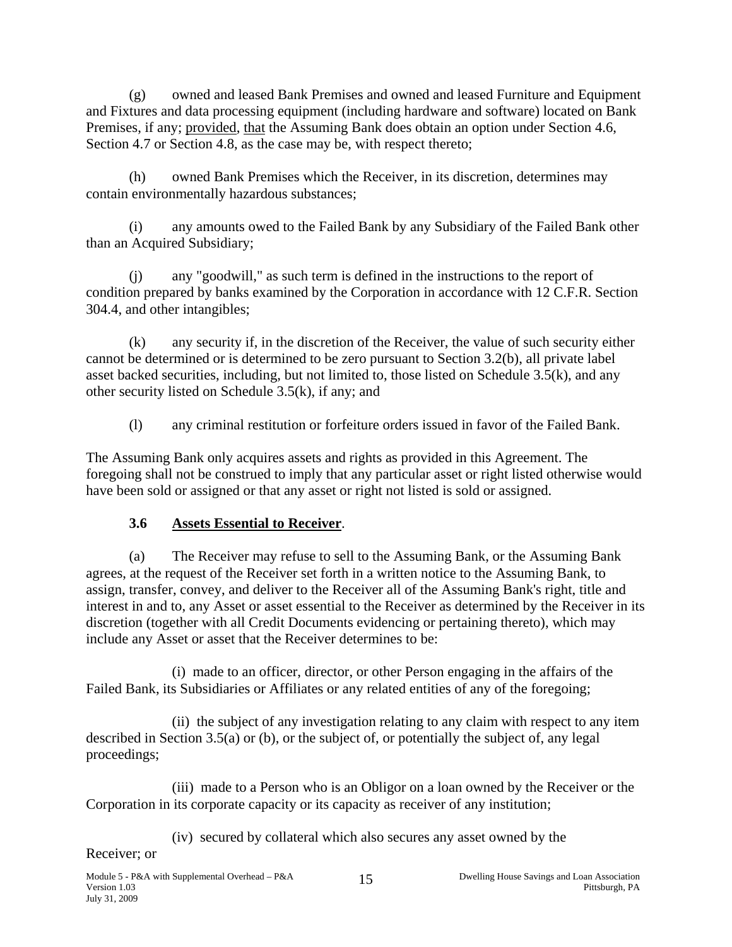<span id="page-18-0"></span>(g) owned and leased Bank Premises and owned and leased Furniture and Equipment and Fixtures and data processing equipment (including hardware and software) located on Bank Premises, if any; provided, that the Assuming Bank does obtain an option under Section 4.6, Section 4.7 or Section 4.8, as the case may be, with respect thereto;

(h) owned Bank Premises which the Receiver, in its discretion, determines may contain environmentally hazardous substances;

(i) any amounts owed to the Failed Bank by any Subsidiary of the Failed Bank other than an Acquired Subsidiary;

(j) any "goodwill," as such term is defined in the instructions to the report of condition prepared by banks examined by the Corporation in accordance with 12 C.F.R. Section 304.4, and other intangibles;

(k) any security if, in the discretion of the Receiver, the value of such security either cannot be determined or is determined to be zero pursuant to Section 3.2(b), all private label asset backed securities, including, but not limited to, those listed on Schedule 3.5(k), and any other security listed on Schedule 3.5(k), if any; and

(l) any criminal restitution or forfeiture orders issued in favor of the Failed Bank.

The Assuming Bank only acquires assets and rights as provided in this Agreement. The foregoing shall not be construed to imply that any particular asset or right listed otherwise would have been sold or assigned or that any asset or right not listed is sold or assigned.

# **3.6 Assets Essential to Receiver**.

(a) The Receiver may refuse to sell to the Assuming Bank, or the Assuming Bank agrees, at the request of the Receiver set forth in a written notice to the Assuming Bank, to assign, transfer, convey, and deliver to the Receiver all of the Assuming Bank's right, title and interest in and to, any Asset or asset essential to the Receiver as determined by the Receiver in its discretion (together with all Credit Documents evidencing or pertaining thereto), which may include any Asset or asset that the Receiver determines to be:

(i) made to an officer, director, or other Person engaging in the affairs of the Failed Bank, its Subsidiaries or Affiliates or any related entities of any of the foregoing;

(ii) the subject of any investigation relating to any claim with respect to any item described in Section 3.5(a) or (b), or the subject of, or potentially the subject of, any legal proceedings;

(iii) made to a Person who is an Obligor on a loan owned by the Receiver or the Corporation in its corporate capacity or its capacity as receiver of any institution;

(iv) secured by collateral which also secures any asset owned by the

Receiver; or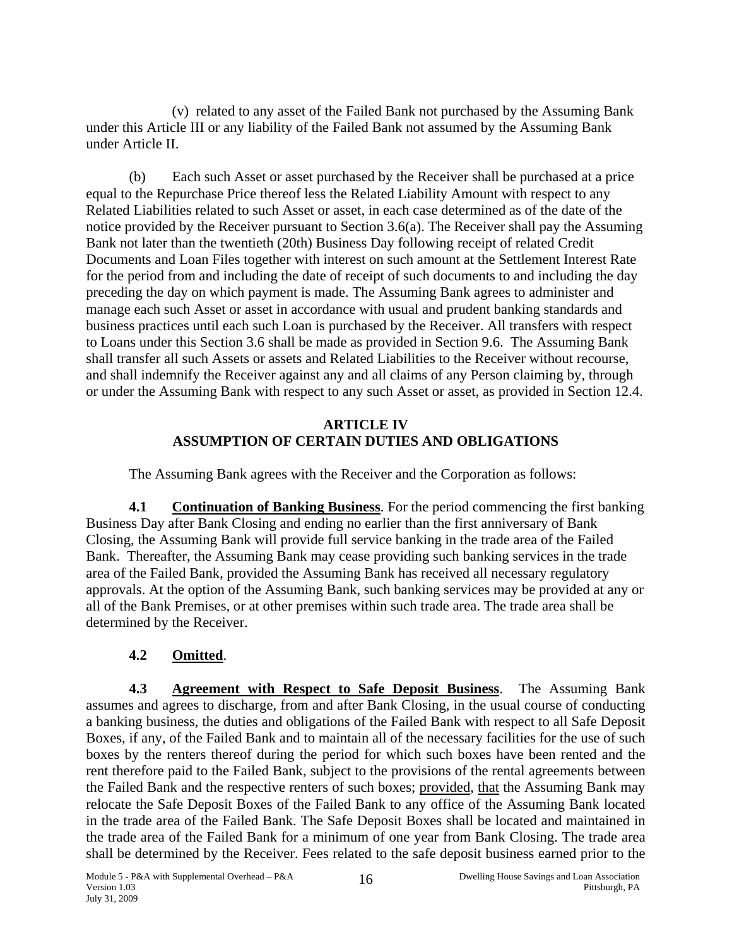<span id="page-19-0"></span>(v) related to any asset of the Failed Bank not purchased by the Assuming Bank under this Article III or any liability of the Failed Bank not assumed by the Assuming Bank under Article II.

(b) Each such Asset or asset purchased by the Receiver shall be purchased at a price equal to the Repurchase Price thereof less the Related Liability Amount with respect to any Related Liabilities related to such Asset or asset, in each case determined as of the date of the notice provided by the Receiver pursuant to Section 3.6(a). The Receiver shall pay the Assuming Bank not later than the twentieth (20th) Business Day following receipt of related Credit Documents and Loan Files together with interest on such amount at the Settlement Interest Rate for the period from and including the date of receipt of such documents to and including the day preceding the day on which payment is made. The Assuming Bank agrees to administer and manage each such Asset or asset in accordance with usual and prudent banking standards and business practices until each such Loan is purchased by the Receiver. All transfers with respect to Loans under this Section 3.6 shall be made as provided in Section 9.6. The Assuming Bank shall transfer all such Assets or assets and Related Liabilities to the Receiver without recourse, and shall indemnify the Receiver against any and all claims of any Person claiming by, through or under the Assuming Bank with respect to any such Asset or asset, as provided in Section 12.4.

## **ARTICLE IV ASSUMPTION OF CERTAIN DUTIES AND OBLIGATIONS**

The Assuming Bank agrees with the Receiver and the Corporation as follows:

**4.1 Continuation of Banking Business**. For the period commencing the first banking Business Day after Bank Closing and ending no earlier than the first anniversary of Bank Closing, the Assuming Bank will provide full service banking in the trade area of the Failed Bank. Thereafter, the Assuming Bank may cease providing such banking services in the trade area of the Failed Bank, provided the Assuming Bank has received all necessary regulatory approvals. At the option of the Assuming Bank, such banking services may be provided at any or all of the Bank Premises, or at other premises within such trade area. The trade area shall be determined by the Receiver.

# **4.2 Omitted**.

**4.3 Agreement with Respect to Safe Deposit Business**. The Assuming Bank assumes and agrees to discharge, from and after Bank Closing, in the usual course of conducting a banking business, the duties and obligations of the Failed Bank with respect to all Safe Deposit Boxes, if any, of the Failed Bank and to maintain all of the necessary facilities for the use of such boxes by the renters thereof during the period for which such boxes have been rented and the rent therefore paid to the Failed Bank, subject to the provisions of the rental agreements between the Failed Bank and the respective renters of such boxes; provided, that the Assuming Bank may relocate the Safe Deposit Boxes of the Failed Bank to any office of the Assuming Bank located in the trade area of the Failed Bank. The Safe Deposit Boxes shall be located and maintained in the trade area of the Failed Bank for a minimum of one year from Bank Closing. The trade area shall be determined by the Receiver. Fees related to the safe deposit business earned prior to the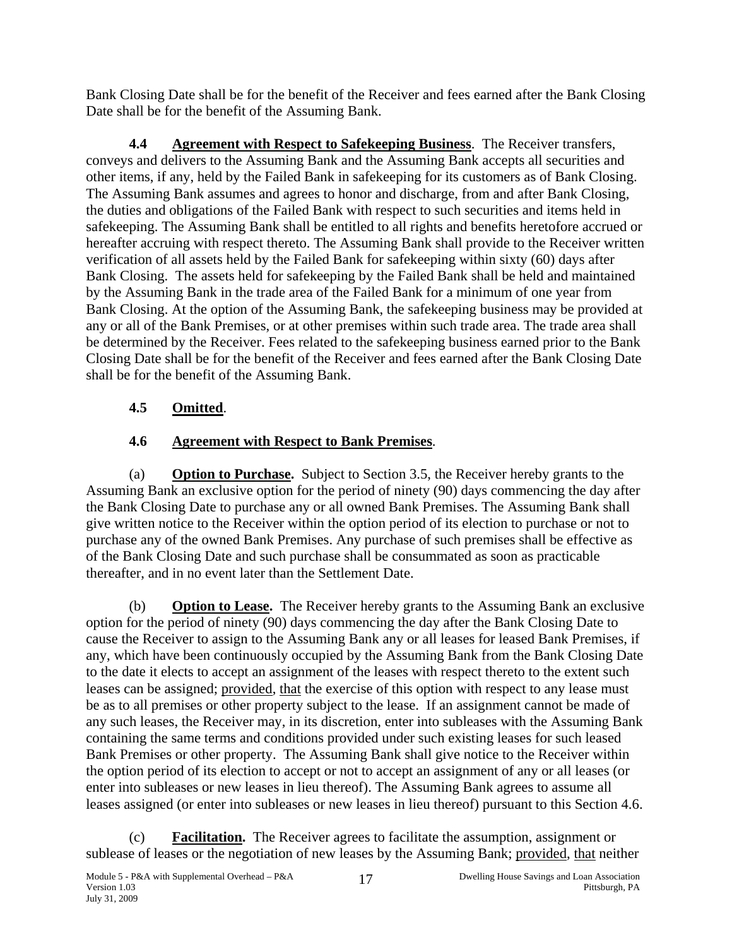<span id="page-20-0"></span>Bank Closing Date shall be for the benefit of the Receiver and fees earned after the Bank Closing Date shall be for the benefit of the Assuming Bank.

**4.4 Agreement with Respect to Safekeeping Business**. The Receiver transfers, conveys and delivers to the Assuming Bank and the Assuming Bank accepts all securities and other items, if any, held by the Failed Bank in safekeeping for its customers as of Bank Closing. The Assuming Bank assumes and agrees to honor and discharge, from and after Bank Closing, the duties and obligations of the Failed Bank with respect to such securities and items held in safekeeping. The Assuming Bank shall be entitled to all rights and benefits heretofore accrued or hereafter accruing with respect thereto. The Assuming Bank shall provide to the Receiver written verification of all assets held by the Failed Bank for safekeeping within sixty (60) days after Bank Closing. The assets held for safekeeping by the Failed Bank shall be held and maintained by the Assuming Bank in the trade area of the Failed Bank for a minimum of one year from Bank Closing. At the option of the Assuming Bank, the safekeeping business may be provided at any or all of the Bank Premises, or at other premises within such trade area. The trade area shall be determined by the Receiver. Fees related to the safekeeping business earned prior to the Bank Closing Date shall be for the benefit of the Receiver and fees earned after the Bank Closing Date shall be for the benefit of the Assuming Bank.

# **4.5 Omitted**.

# **4.6 Agreement with Respect to Bank Premises**.

(a) **Option to Purchase.** Subject to Section 3.5, the Receiver hereby grants to the Assuming Bank an exclusive option for the period of ninety (90) days commencing the day after the Bank Closing Date to purchase any or all owned Bank Premises. The Assuming Bank shall give written notice to the Receiver within the option period of its election to purchase or not to purchase any of the owned Bank Premises. Any purchase of such premises shall be effective as of the Bank Closing Date and such purchase shall be consummated as soon as practicable thereafter, and in no event later than the Settlement Date.

(b) **Option to Lease.** The Receiver hereby grants to the Assuming Bank an exclusive option for the period of ninety (90) days commencing the day after the Bank Closing Date to cause the Receiver to assign to the Assuming Bank any or all leases for leased Bank Premises, if any, which have been continuously occupied by the Assuming Bank from the Bank Closing Date to the date it elects to accept an assignment of the leases with respect thereto to the extent such leases can be assigned; provided, that the exercise of this option with respect to any lease must be as to all premises or other property subject to the lease. If an assignment cannot be made of any such leases, the Receiver may, in its discretion, enter into subleases with the Assuming Bank containing the same terms and conditions provided under such existing leases for such leased Bank Premises or other property. The Assuming Bank shall give notice to the Receiver within the option period of its election to accept or not to accept an assignment of any or all leases (or enter into subleases or new leases in lieu thereof). The Assuming Bank agrees to assume all leases assigned (or enter into subleases or new leases in lieu thereof) pursuant to this Section 4.6.

(c) **Facilitation.** The Receiver agrees to facilitate the assumption, assignment or sublease of leases or the negotiation of new leases by the Assuming Bank; provided, that neither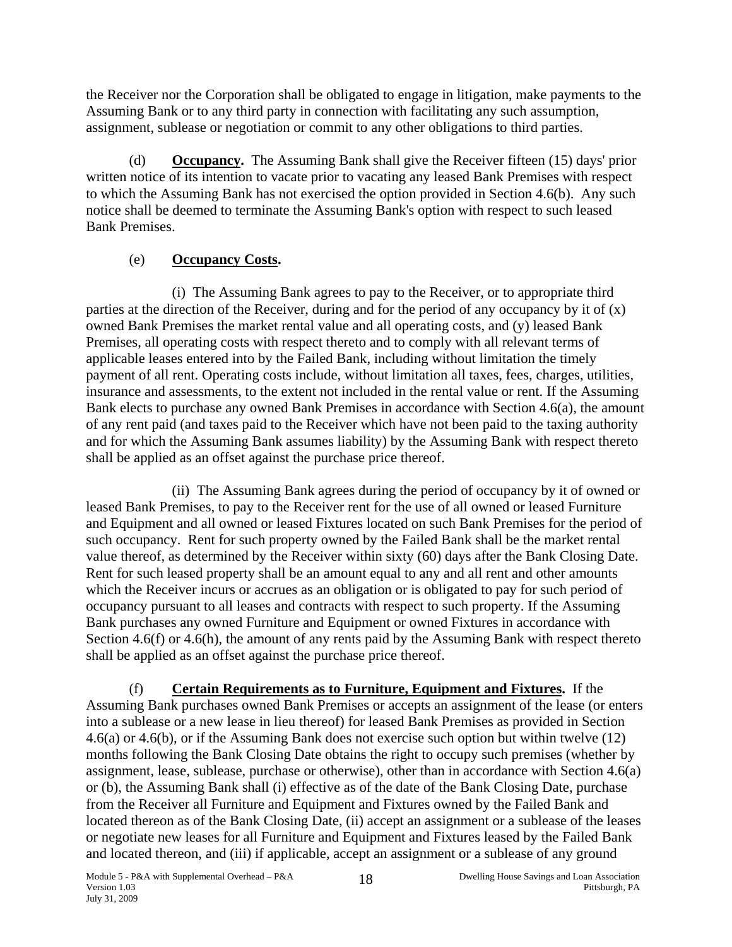the Receiver nor the Corporation shall be obligated to engage in litigation, make payments to the Assuming Bank or to any third party in connection with facilitating any such assumption, assignment, sublease or negotiation or commit to any other obligations to third parties.

(d) **Occupancy.** The Assuming Bank shall give the Receiver fifteen (15) days' prior written notice of its intention to vacate prior to vacating any leased Bank Premises with respect to which the Assuming Bank has not exercised the option provided in Section 4.6(b). Any such notice shall be deemed to terminate the Assuming Bank's option with respect to such leased Bank Premises.

# (e) **Occupancy Costs.**

(i) The Assuming Bank agrees to pay to the Receiver, or to appropriate third parties at the direction of the Receiver, during and for the period of any occupancy by it of (x) owned Bank Premises the market rental value and all operating costs, and (y) leased Bank Premises, all operating costs with respect thereto and to comply with all relevant terms of applicable leases entered into by the Failed Bank, including without limitation the timely payment of all rent. Operating costs include, without limitation all taxes, fees, charges, utilities, insurance and assessments, to the extent not included in the rental value or rent. If the Assuming Bank elects to purchase any owned Bank Premises in accordance with Section 4.6(a), the amount of any rent paid (and taxes paid to the Receiver which have not been paid to the taxing authority and for which the Assuming Bank assumes liability) by the Assuming Bank with respect thereto shall be applied as an offset against the purchase price thereof.

(ii) The Assuming Bank agrees during the period of occupancy by it of owned or leased Bank Premises, to pay to the Receiver rent for the use of all owned or leased Furniture and Equipment and all owned or leased Fixtures located on such Bank Premises for the period of such occupancy. Rent for such property owned by the Failed Bank shall be the market rental value thereof, as determined by the Receiver within sixty (60) days after the Bank Closing Date. Rent for such leased property shall be an amount equal to any and all rent and other amounts which the Receiver incurs or accrues as an obligation or is obligated to pay for such period of occupancy pursuant to all leases and contracts with respect to such property. If the Assuming Bank purchases any owned Furniture and Equipment or owned Fixtures in accordance with Section 4.6(f) or 4.6(h), the amount of any rents paid by the Assuming Bank with respect thereto shall be applied as an offset against the purchase price thereof.

(f) **Certain Requirements as to Furniture, Equipment and Fixtures.** If the Assuming Bank purchases owned Bank Premises or accepts an assignment of the lease (or enters into a sublease or a new lease in lieu thereof) for leased Bank Premises as provided in Section 4.6(a) or 4.6(b), or if the Assuming Bank does not exercise such option but within twelve (12) months following the Bank Closing Date obtains the right to occupy such premises (whether by assignment, lease, sublease, purchase or otherwise), other than in accordance with Section 4.6(a) or (b), the Assuming Bank shall (i) effective as of the date of the Bank Closing Date, purchase from the Receiver all Furniture and Equipment and Fixtures owned by the Failed Bank and located thereon as of the Bank Closing Date, (ii) accept an assignment or a sublease of the leases or negotiate new leases for all Furniture and Equipment and Fixtures leased by the Failed Bank and located thereon, and (iii) if applicable, accept an assignment or a sublease of any ground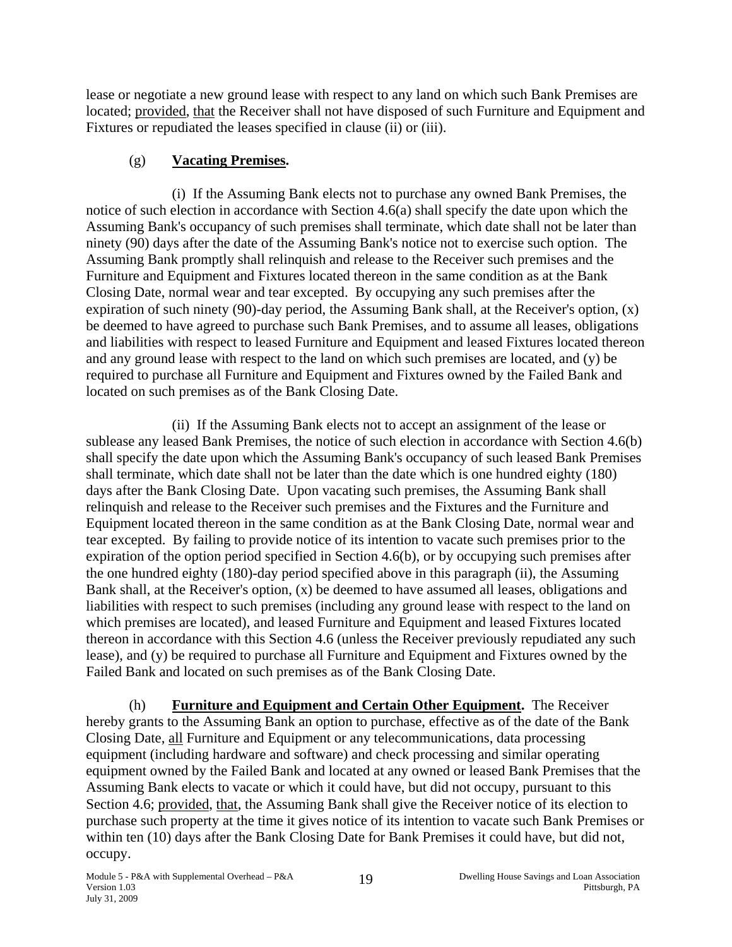lease or negotiate a new ground lease with respect to any land on which such Bank Premises are located; provided, that the Receiver shall not have disposed of such Furniture and Equipment and Fixtures or repudiated the leases specified in clause (ii) or (iii).

# (g) **Vacating Premises.**

(i) If the Assuming Bank elects not to purchase any owned Bank Premises, the notice of such election in accordance with Section 4.6(a) shall specify the date upon which the Assuming Bank's occupancy of such premises shall terminate, which date shall not be later than ninety (90) days after the date of the Assuming Bank's notice not to exercise such option. The Assuming Bank promptly shall relinquish and release to the Receiver such premises and the Furniture and Equipment and Fixtures located thereon in the same condition as at the Bank Closing Date, normal wear and tear excepted. By occupying any such premises after the expiration of such ninety (90)-day period, the Assuming Bank shall, at the Receiver's option,  $(x)$ be deemed to have agreed to purchase such Bank Premises, and to assume all leases, obligations and liabilities with respect to leased Furniture and Equipment and leased Fixtures located thereon and any ground lease with respect to the land on which such premises are located, and (y) be required to purchase all Furniture and Equipment and Fixtures owned by the Failed Bank and located on such premises as of the Bank Closing Date.

(ii) If the Assuming Bank elects not to accept an assignment of the lease or sublease any leased Bank Premises, the notice of such election in accordance with Section 4.6(b) shall specify the date upon which the Assuming Bank's occupancy of such leased Bank Premises shall terminate, which date shall not be later than the date which is one hundred eighty (180) days after the Bank Closing Date. Upon vacating such premises, the Assuming Bank shall relinquish and release to the Receiver such premises and the Fixtures and the Furniture and Equipment located thereon in the same condition as at the Bank Closing Date, normal wear and tear excepted. By failing to provide notice of its intention to vacate such premises prior to the expiration of the option period specified in Section 4.6(b), or by occupying such premises after the one hundred eighty (180)-day period specified above in this paragraph (ii), the Assuming Bank shall, at the Receiver's option, (x) be deemed to have assumed all leases, obligations and liabilities with respect to such premises (including any ground lease with respect to the land on which premises are located), and leased Furniture and Equipment and leased Fixtures located thereon in accordance with this Section 4.6 (unless the Receiver previously repudiated any such lease), and (y) be required to purchase all Furniture and Equipment and Fixtures owned by the Failed Bank and located on such premises as of the Bank Closing Date.

(h) **Furniture and Equipment and Certain Other Equipment.** The Receiver hereby grants to the Assuming Bank an option to purchase, effective as of the date of the Bank Closing Date, all Furniture and Equipment or any telecommunications, data processing equipment (including hardware and software) and check processing and similar operating equipment owned by the Failed Bank and located at any owned or leased Bank Premises that the Assuming Bank elects to vacate or which it could have, but did not occupy, pursuant to this Section 4.6; provided, that, the Assuming Bank shall give the Receiver notice of its election to purchase such property at the time it gives notice of its intention to vacate such Bank Premises or within ten (10) days after the Bank Closing Date for Bank Premises it could have, but did not, occupy.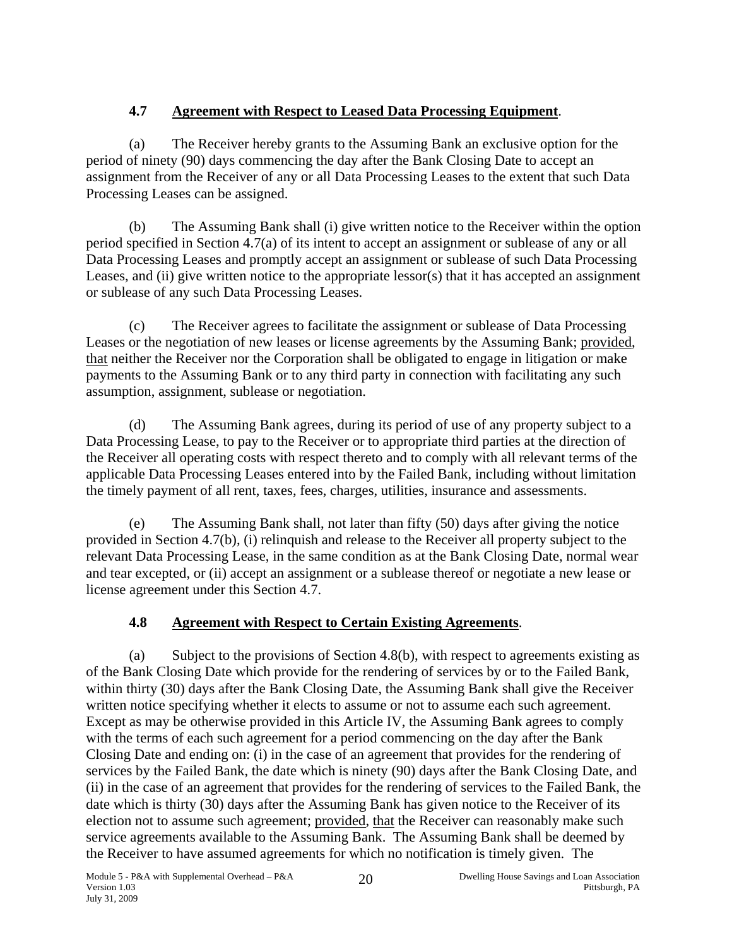# **4.7 Agreement with Respect to Leased Data Processing Equipment**.

<span id="page-23-0"></span>(a) The Receiver hereby grants to the Assuming Bank an exclusive option for the period of ninety (90) days commencing the day after the Bank Closing Date to accept an assignment from the Receiver of any or all Data Processing Leases to the extent that such Data Processing Leases can be assigned.

(b) The Assuming Bank shall (i) give written notice to the Receiver within the option period specified in Section 4.7(a) of its intent to accept an assignment or sublease of any or all Data Processing Leases and promptly accept an assignment or sublease of such Data Processing Leases, and (ii) give written notice to the appropriate lessor(s) that it has accepted an assignment or sublease of any such Data Processing Leases.

(c) The Receiver agrees to facilitate the assignment or sublease of Data Processing Leases or the negotiation of new leases or license agreements by the Assuming Bank; provided, that neither the Receiver nor the Corporation shall be obligated to engage in litigation or make payments to the Assuming Bank or to any third party in connection with facilitating any such assumption, assignment, sublease or negotiation.

(d) The Assuming Bank agrees, during its period of use of any property subject to a Data Processing Lease, to pay to the Receiver or to appropriate third parties at the direction of the Receiver all operating costs with respect thereto and to comply with all relevant terms of the applicable Data Processing Leases entered into by the Failed Bank, including without limitation the timely payment of all rent, taxes, fees, charges, utilities, insurance and assessments.

(e) The Assuming Bank shall, not later than fifty (50) days after giving the notice provided in Section 4.7(b), (i) relinquish and release to the Receiver all property subject to the relevant Data Processing Lease, in the same condition as at the Bank Closing Date, normal wear and tear excepted, or (ii) accept an assignment or a sublease thereof or negotiate a new lease or license agreement under this Section 4.7.

# **4.8 Agreement with Respect to Certain Existing Agreements**.

(a) Subject to the provisions of Section 4.8(b), with respect to agreements existing as of the Bank Closing Date which provide for the rendering of services by or to the Failed Bank, within thirty (30) days after the Bank Closing Date, the Assuming Bank shall give the Receiver written notice specifying whether it elects to assume or not to assume each such agreement. Except as may be otherwise provided in this Article IV, the Assuming Bank agrees to comply with the terms of each such agreement for a period commencing on the day after the Bank Closing Date and ending on: (i) in the case of an agreement that provides for the rendering of services by the Failed Bank, the date which is ninety (90) days after the Bank Closing Date, and (ii) in the case of an agreement that provides for the rendering of services to the Failed Bank, the date which is thirty (30) days after the Assuming Bank has given notice to the Receiver of its election not to assume such agreement; provided, that the Receiver can reasonably make such service agreements available to the Assuming Bank. The Assuming Bank shall be deemed by the Receiver to have assumed agreements for which no notification is timely given. The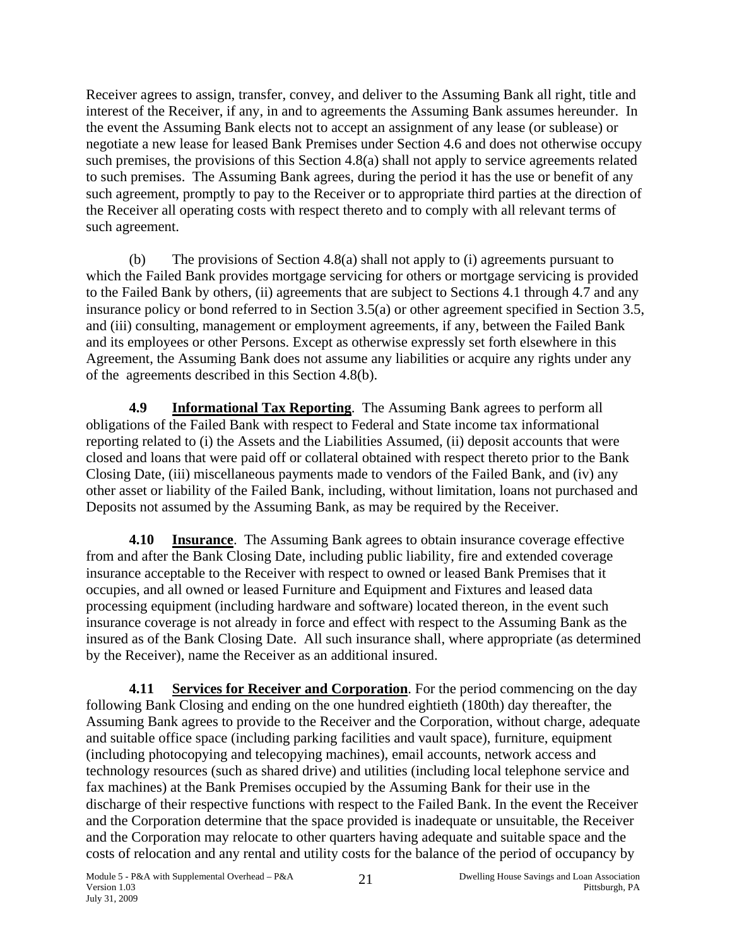<span id="page-24-0"></span>Receiver agrees to assign, transfer, convey, and deliver to the Assuming Bank all right, title and interest of the Receiver, if any, in and to agreements the Assuming Bank assumes hereunder. In the event the Assuming Bank elects not to accept an assignment of any lease (or sublease) or negotiate a new lease for leased Bank Premises under Section 4.6 and does not otherwise occupy such premises, the provisions of this Section 4.8(a) shall not apply to service agreements related to such premises. The Assuming Bank agrees, during the period it has the use or benefit of any such agreement, promptly to pay to the Receiver or to appropriate third parties at the direction of the Receiver all operating costs with respect thereto and to comply with all relevant terms of such agreement.

(b) The provisions of Section 4.8(a) shall not apply to (i) agreements pursuant to which the Failed Bank provides mortgage servicing for others or mortgage servicing is provided to the Failed Bank by others, (ii) agreements that are subject to Sections 4.1 through 4.7 and any insurance policy or bond referred to in Section 3.5(a) or other agreement specified in Section 3.5, and (iii) consulting, management or employment agreements, if any, between the Failed Bank and its employees or other Persons. Except as otherwise expressly set forth elsewhere in this Agreement, the Assuming Bank does not assume any liabilities or acquire any rights under any of the agreements described in this Section 4.8(b).

**4.9 Informational Tax Reporting**. The Assuming Bank agrees to perform all obligations of the Failed Bank with respect to Federal and State income tax informational reporting related to (i) the Assets and the Liabilities Assumed, (ii) deposit accounts that were closed and loans that were paid off or collateral obtained with respect thereto prior to the Bank Closing Date, (iii) miscellaneous payments made to vendors of the Failed Bank, and (iv) any other asset or liability of the Failed Bank, including, without limitation, loans not purchased and Deposits not assumed by the Assuming Bank, as may be required by the Receiver.

**4.10 Insurance**. The Assuming Bank agrees to obtain insurance coverage effective from and after the Bank Closing Date, including public liability, fire and extended coverage insurance acceptable to the Receiver with respect to owned or leased Bank Premises that it occupies, and all owned or leased Furniture and Equipment and Fixtures and leased data processing equipment (including hardware and software) located thereon, in the event such insurance coverage is not already in force and effect with respect to the Assuming Bank as the insured as of the Bank Closing Date. All such insurance shall, where appropriate (as determined by the Receiver), name the Receiver as an additional insured.

**4.11 Services for Receiver and Corporation**. For the period commencing on the day following Bank Closing and ending on the one hundred eightieth (180th) day thereafter, the Assuming Bank agrees to provide to the Receiver and the Corporation, without charge, adequate and suitable office space (including parking facilities and vault space), furniture, equipment (including photocopying and telecopying machines), email accounts, network access and technology resources (such as shared drive) and utilities (including local telephone service and fax machines) at the Bank Premises occupied by the Assuming Bank for their use in the discharge of their respective functions with respect to the Failed Bank. In the event the Receiver and the Corporation determine that the space provided is inadequate or unsuitable, the Receiver and the Corporation may relocate to other quarters having adequate and suitable space and the costs of relocation and any rental and utility costs for the balance of the period of occupancy by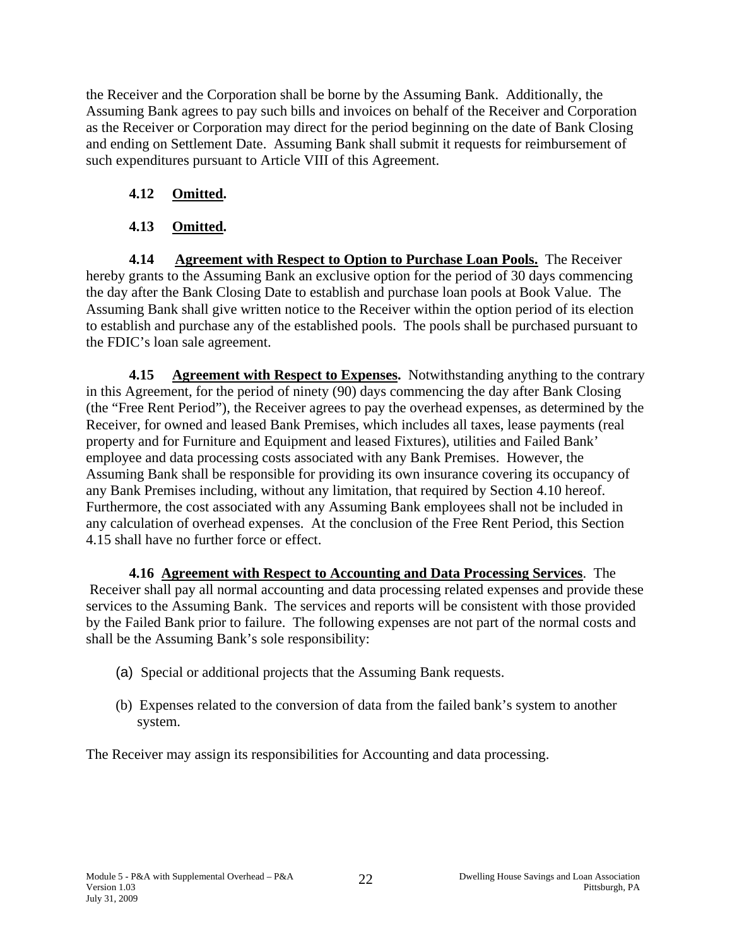<span id="page-25-0"></span>the Receiver and the Corporation shall be borne by the Assuming Bank. Additionally, the Assuming Bank agrees to pay such bills and invoices on behalf of the Receiver and Corporation as the Receiver or Corporation may direct for the period beginning on the date of Bank Closing and ending on Settlement Date. Assuming Bank shall submit it requests for reimbursement of such expenditures pursuant to Article VIII of this Agreement.

# **4.12 Omitted.**

# 4.13 Omitted.

 **Agreement with Respect to Option to Purchase Loan Pools.** The Receiver hereby grants to the Assuming Bank an exclusive option for the period of 30 days commencing the day after the Bank Closing Date to establish and purchase loan pools at Book Value. The Assuming Bank shall give written notice to the Receiver within the option period of its election to establish and purchase any of the established pools. The pools shall be purchased pursuant to the FDIC's loan sale agreement.

**4.15 Agreement with Respect to Expenses.** Notwithstanding anything to the contrary in this Agreement, for the period of ninety (90) days commencing the day after Bank Closing (the "Free Rent Period"), the Receiver agrees to pay the overhead expenses, as determined by the Receiver, for owned and leased Bank Premises, which includes all taxes, lease payments (real property and for Furniture and Equipment and leased Fixtures), utilities and Failed Bank' employee and data processing costs associated with any Bank Premises. However, the Assuming Bank shall be responsible for providing its own insurance covering its occupancy of any Bank Premises including, without any limitation, that required by Section 4.10 hereof. Furthermore, the cost associated with any Assuming Bank employees shall not be included in any calculation of overhead expenses. At the conclusion of the Free Rent Period, this Section 4.15 shall have no further force or effect.

**4.16 Agreement with Respect to Accounting and Data Processing Services**. The Receiver shall pay all normal accounting and data processing related expenses and provide these services to the Assuming Bank. The services and reports will be consistent with those provided by the Failed Bank prior to failure. The following expenses are not part of the normal costs and shall be the Assuming Bank's sole responsibility:

- (a) Special or additional projects that the Assuming Bank requests.
- (b) Expenses related to the conversion of data from the failed bank's system to another system.

The Receiver may assign its responsibilities for Accounting and data processing.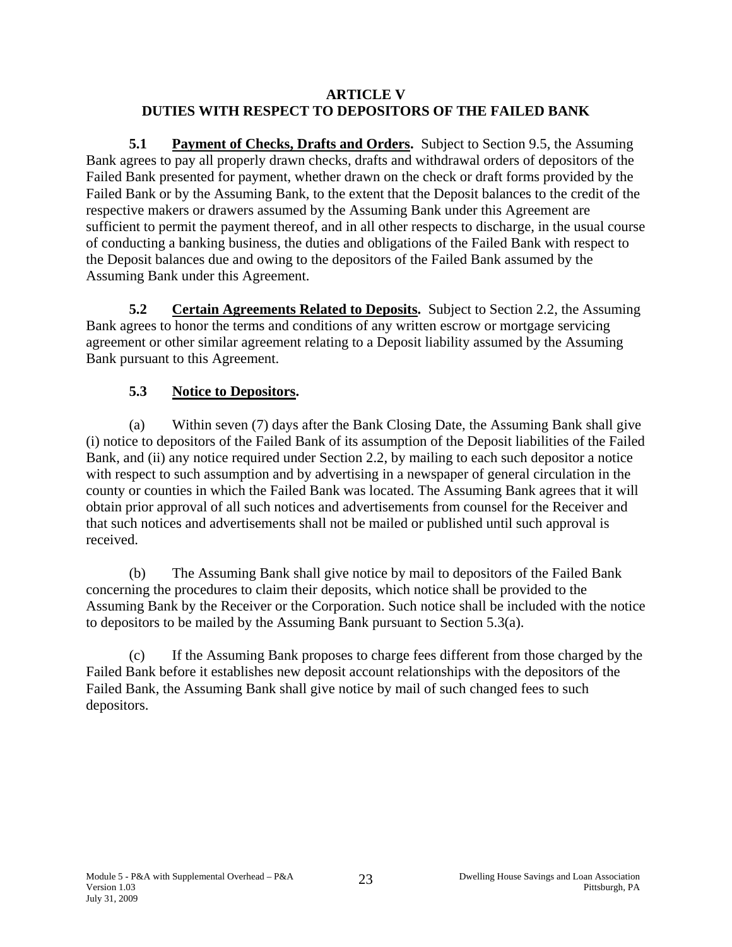### **ARTICLE V DUTIES WITH RESPECT TO DEPOSITORS OF THE FAILED BANK**

<span id="page-26-0"></span>**5.1 Payment of Checks, Drafts and Orders.** Subject to Section 9.5, the Assuming Bank agrees to pay all properly drawn checks, drafts and withdrawal orders of depositors of the Failed Bank presented for payment, whether drawn on the check or draft forms provided by the Failed Bank or by the Assuming Bank, to the extent that the Deposit balances to the credit of the respective makers or drawers assumed by the Assuming Bank under this Agreement are sufficient to permit the payment thereof, and in all other respects to discharge, in the usual course of conducting a banking business, the duties and obligations of the Failed Bank with respect to the Deposit balances due and owing to the depositors of the Failed Bank assumed by the Assuming Bank under this Agreement.

**5.2** Certain Agreements Related to Deposits. Subject to Section 2.2, the Assuming Bank agrees to honor the terms and conditions of any written escrow or mortgage servicing agreement or other similar agreement relating to a Deposit liability assumed by the Assuming Bank pursuant to this Agreement.

# **5.3 Notice to Depositors.**

(a) Within seven (7) days after the Bank Closing Date, the Assuming Bank shall give (i) notice to depositors of the Failed Bank of its assumption of the Deposit liabilities of the Failed Bank, and (ii) any notice required under Section 2.2, by mailing to each such depositor a notice with respect to such assumption and by advertising in a newspaper of general circulation in the county or counties in which the Failed Bank was located. The Assuming Bank agrees that it will obtain prior approval of all such notices and advertisements from counsel for the Receiver and that such notices and advertisements shall not be mailed or published until such approval is received.

(b) The Assuming Bank shall give notice by mail to depositors of the Failed Bank concerning the procedures to claim their deposits, which notice shall be provided to the Assuming Bank by the Receiver or the Corporation. Such notice shall be included with the notice to depositors to be mailed by the Assuming Bank pursuant to Section 5.3(a).

(c) If the Assuming Bank proposes to charge fees different from those charged by the Failed Bank before it establishes new deposit account relationships with the depositors of the Failed Bank, the Assuming Bank shall give notice by mail of such changed fees to such depositors.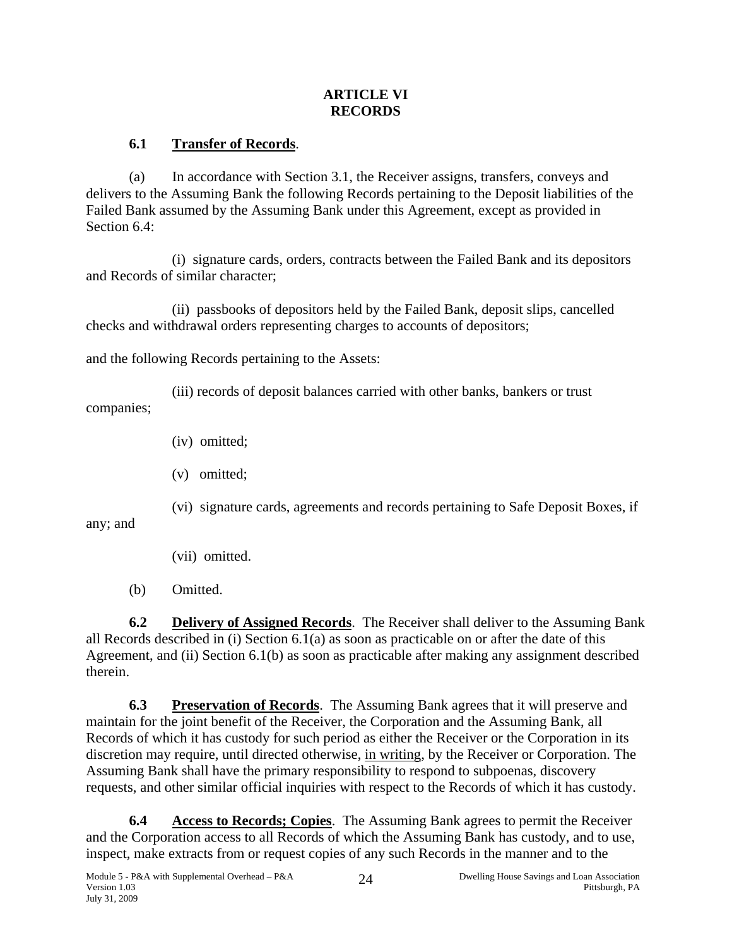## **ARTICLE VI RECORDS**

# <span id="page-27-0"></span>**6.1 Transfer of Records**.

(a) In accordance with Section 3.1, the Receiver assigns, transfers, conveys and delivers to the Assuming Bank the following Records pertaining to the Deposit liabilities of the Failed Bank assumed by the Assuming Bank under this Agreement, except as provided in Section 6.4:

(i) signature cards, orders, contracts between the Failed Bank and its depositors and Records of similar character;

(ii) passbooks of depositors held by the Failed Bank, deposit slips, cancelled checks and withdrawal orders representing charges to accounts of depositors;

and the following Records pertaining to the Assets:

(iii) records of deposit balances carried with other banks, bankers or trust companies;

(iv) omitted;

(v) omitted;

(vi) signature cards, agreements and records pertaining to Safe Deposit Boxes, if

any; and

(vii) omitted.

(b) Omitted.

**6.2 Delivery of Assigned Records**. The Receiver shall deliver to the Assuming Bank all Records described in (i) Section 6.1(a) as soon as practicable on or after the date of this Agreement, and (ii) Section 6.1(b) as soon as practicable after making any assignment described therein.

**6.3 Preservation of Records**. The Assuming Bank agrees that it will preserve and maintain for the joint benefit of the Receiver, the Corporation and the Assuming Bank, all Records of which it has custody for such period as either the Receiver or the Corporation in its discretion may require, until directed otherwise, in writing, by the Receiver or Corporation. The Assuming Bank shall have the primary responsibility to respond to subpoenas, discovery requests, and other similar official inquiries with respect to the Records of which it has custody.

**6.4** Access to Records; Copies. The Assuming Bank agrees to permit the Receiver and the Corporation access to all Records of which the Assuming Bank has custody, and to use, inspect, make extracts from or request copies of any such Records in the manner and to the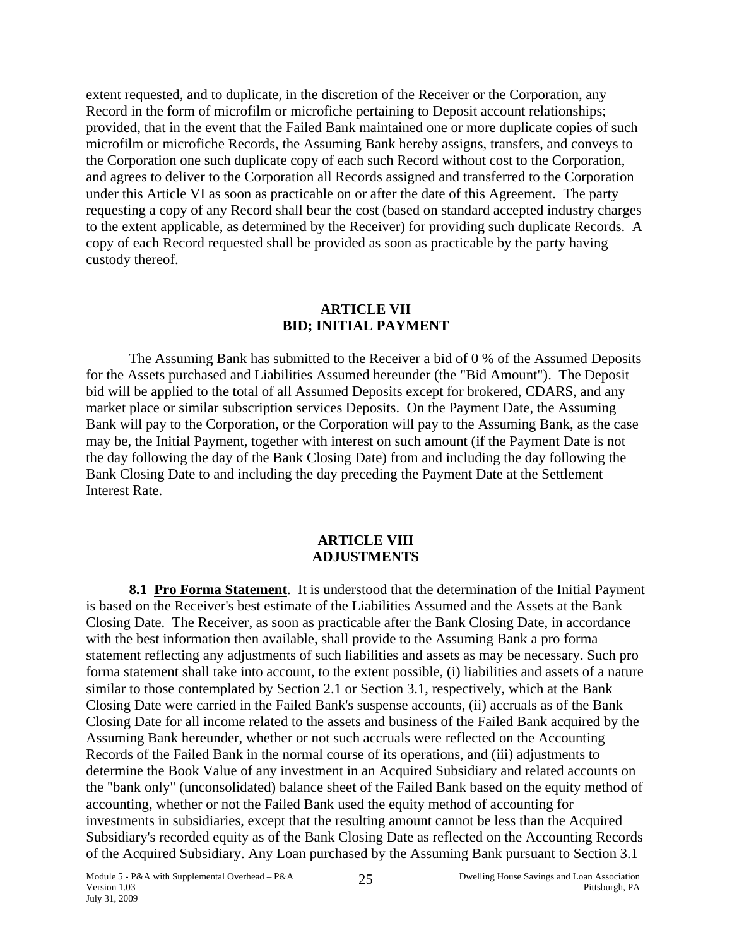<span id="page-28-0"></span>extent requested, and to duplicate, in the discretion of the Receiver or the Corporation, any Record in the form of microfilm or microfiche pertaining to Deposit account relationships; provided, that in the event that the Failed Bank maintained one or more duplicate copies of such microfilm or microfiche Records, the Assuming Bank hereby assigns, transfers, and conveys to the Corporation one such duplicate copy of each such Record without cost to the Corporation, and agrees to deliver to the Corporation all Records assigned and transferred to the Corporation under this Article VI as soon as practicable on or after the date of this Agreement. The party requesting a copy of any Record shall bear the cost (based on standard accepted industry charges to the extent applicable, as determined by the Receiver) for providing such duplicate Records. A copy of each Record requested shall be provided as soon as practicable by the party having custody thereof.

### **ARTICLE VII BID; INITIAL PAYMENT**

The Assuming Bank has submitted to the Receiver a bid of 0 % of the Assumed Deposits for the Assets purchased and Liabilities Assumed hereunder (the "Bid Amount"). The Deposit bid will be applied to the total of all Assumed Deposits except for brokered, CDARS, and any market place or similar subscription services Deposits. On the Payment Date, the Assuming Bank will pay to the Corporation, or the Corporation will pay to the Assuming Bank, as the case may be, the Initial Payment, together with interest on such amount (if the Payment Date is not the day following the day of the Bank Closing Date) from and including the day following the Bank Closing Date to and including the day preceding the Payment Date at the Settlement Interest Rate.

### **ARTICLE VIII ADJUSTMENTS**

**8.1 Pro Forma Statement**. It is understood that the determination of the Initial Payment is based on the Receiver's best estimate of the Liabilities Assumed and the Assets at the Bank Closing Date. The Receiver, as soon as practicable after the Bank Closing Date, in accordance with the best information then available, shall provide to the Assuming Bank a pro forma statement reflecting any adjustments of such liabilities and assets as may be necessary. Such pro forma statement shall take into account, to the extent possible, (i) liabilities and assets of a nature similar to those contemplated by Section 2.1 or Section 3.1, respectively, which at the Bank Closing Date were carried in the Failed Bank's suspense accounts, (ii) accruals as of the Bank Closing Date for all income related to the assets and business of the Failed Bank acquired by the Assuming Bank hereunder, whether or not such accruals were reflected on the Accounting Records of the Failed Bank in the normal course of its operations, and (iii) adjustments to determine the Book Value of any investment in an Acquired Subsidiary and related accounts on the "bank only" (unconsolidated) balance sheet of the Failed Bank based on the equity method of accounting, whether or not the Failed Bank used the equity method of accounting for investments in subsidiaries, except that the resulting amount cannot be less than the Acquired Subsidiary's recorded equity as of the Bank Closing Date as reflected on the Accounting Records of the Acquired Subsidiary. Any Loan purchased by the Assuming Bank pursuant to Section 3.1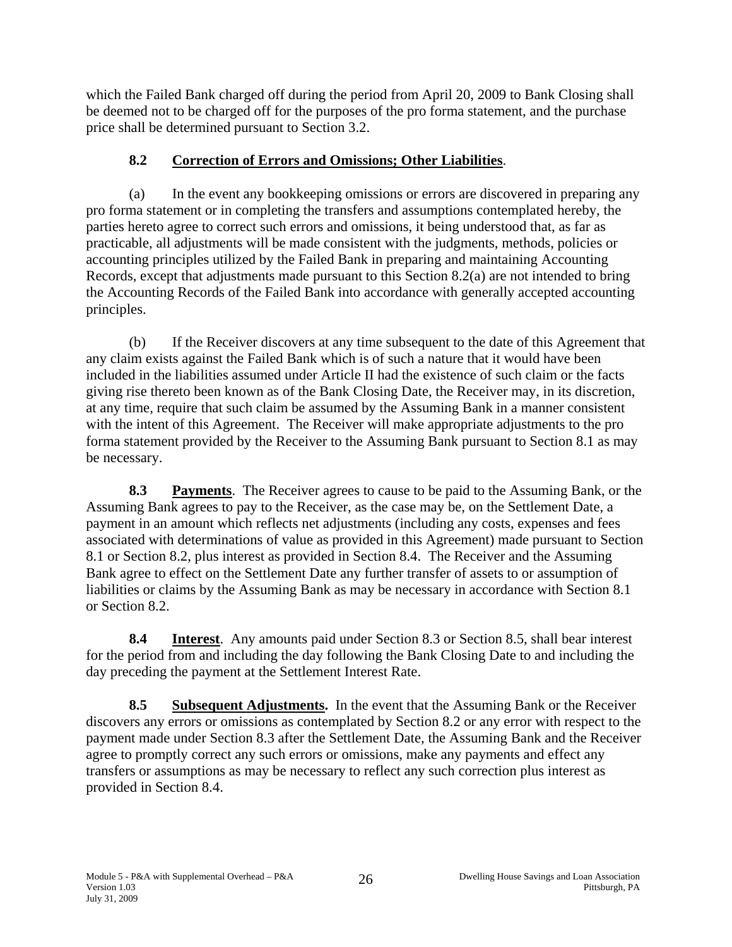<span id="page-29-0"></span>which the Failed Bank charged off during the period from April 20, 2009 to Bank Closing shall be deemed not to be charged off for the purposes of the pro forma statement, and the purchase price shall be determined pursuant to Section 3.2.

# **8.2 Correction of Errors and Omissions; Other Liabilities**.

(a) In the event any bookkeeping omissions or errors are discovered in preparing any pro forma statement or in completing the transfers and assumptions contemplated hereby, the parties hereto agree to correct such errors and omissions, it being understood that, as far as practicable, all adjustments will be made consistent with the judgments, methods, policies or accounting principles utilized by the Failed Bank in preparing and maintaining Accounting Records, except that adjustments made pursuant to this Section 8.2(a) are not intended to bring the Accounting Records of the Failed Bank into accordance with generally accepted accounting principles.

(b) If the Receiver discovers at any time subsequent to the date of this Agreement that any claim exists against the Failed Bank which is of such a nature that it would have been included in the liabilities assumed under Article II had the existence of such claim or the facts giving rise thereto been known as of the Bank Closing Date, the Receiver may, in its discretion, at any time, require that such claim be assumed by the Assuming Bank in a manner consistent with the intent of this Agreement. The Receiver will make appropriate adjustments to the pro forma statement provided by the Receiver to the Assuming Bank pursuant to Section 8.1 as may be necessary.

**8.3 Payments**. The Receiver agrees to cause to be paid to the Assuming Bank, or the Assuming Bank agrees to pay to the Receiver, as the case may be, on the Settlement Date, a payment in an amount which reflects net adjustments (including any costs, expenses and fees associated with determinations of value as provided in this Agreement) made pursuant to Section 8.1 or Section 8.2, plus interest as provided in Section 8.4. The Receiver and the Assuming Bank agree to effect on the Settlement Date any further transfer of assets to or assumption of liabilities or claims by the Assuming Bank as may be necessary in accordance with Section 8.1 or Section 8.2.

**8.4 Interest**. Any amounts paid under Section 8.3 or Section 8.5, shall bear interest for the period from and including the day following the Bank Closing Date to and including the day preceding the payment at the Settlement Interest Rate.

**8.5 Subsequent Adjustments.** In the event that the Assuming Bank or the Receiver discovers any errors or omissions as contemplated by Section 8.2 or any error with respect to the payment made under Section 8.3 after the Settlement Date, the Assuming Bank and the Receiver agree to promptly correct any such errors or omissions, make any payments and effect any transfers or assumptions as may be necessary to reflect any such correction plus interest as provided in Section 8.4.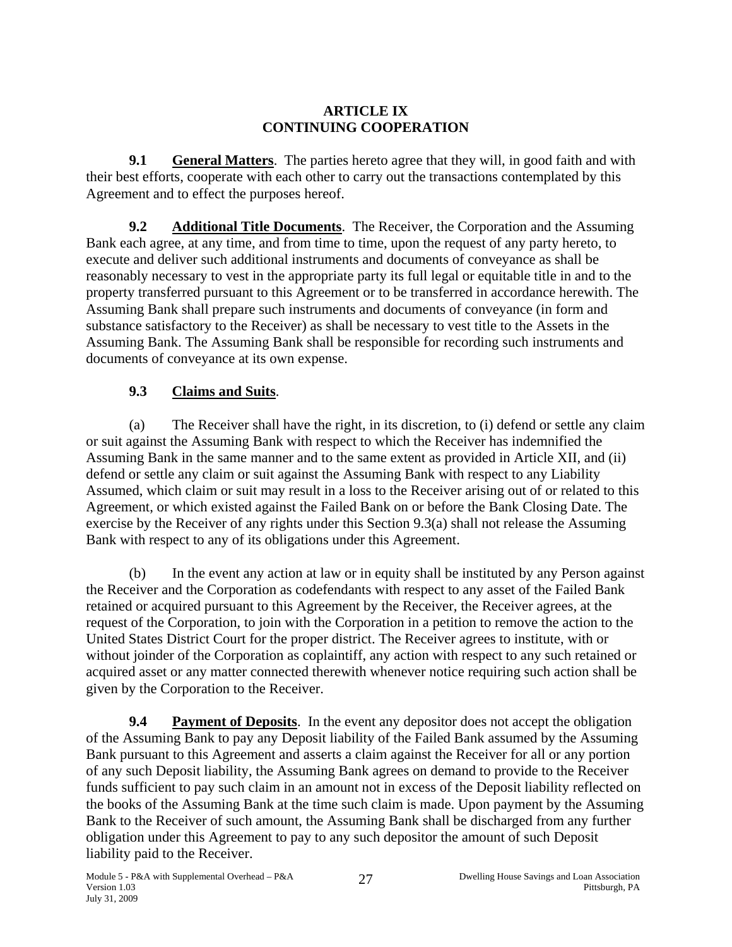## **ARTICLE IX CONTINUING COOPERATION**

<span id="page-30-0"></span>**9.1 General Matters**. The parties hereto agree that they will, in good faith and with their best efforts, cooperate with each other to carry out the transactions contemplated by this Agreement and to effect the purposes hereof.

**9.2** Additional Title Documents. The Receiver, the Corporation and the Assuming Bank each agree, at any time, and from time to time, upon the request of any party hereto, to execute and deliver such additional instruments and documents of conveyance as shall be reasonably necessary to vest in the appropriate party its full legal or equitable title in and to the property transferred pursuant to this Agreement or to be transferred in accordance herewith. The Assuming Bank shall prepare such instruments and documents of conveyance (in form and substance satisfactory to the Receiver) as shall be necessary to vest title to the Assets in the Assuming Bank. The Assuming Bank shall be responsible for recording such instruments and documents of conveyance at its own expense.

# **9.3 Claims and Suits**.

(a) The Receiver shall have the right, in its discretion, to (i) defend or settle any claim or suit against the Assuming Bank with respect to which the Receiver has indemnified the Assuming Bank in the same manner and to the same extent as provided in Article XII, and (ii) defend or settle any claim or suit against the Assuming Bank with respect to any Liability Assumed, which claim or suit may result in a loss to the Receiver arising out of or related to this Agreement, or which existed against the Failed Bank on or before the Bank Closing Date. The exercise by the Receiver of any rights under this Section 9.3(a) shall not release the Assuming Bank with respect to any of its obligations under this Agreement.

(b) In the event any action at law or in equity shall be instituted by any Person against the Receiver and the Corporation as codefendants with respect to any asset of the Failed Bank retained or acquired pursuant to this Agreement by the Receiver, the Receiver agrees, at the request of the Corporation, to join with the Corporation in a petition to remove the action to the United States District Court for the proper district. The Receiver agrees to institute, with or without joinder of the Corporation as coplaintiff, any action with respect to any such retained or acquired asset or any matter connected therewith whenever notice requiring such action shall be given by the Corporation to the Receiver.

**9.4 Payment of Deposits.** In the event any depositor does not accept the obligation of the Assuming Bank to pay any Deposit liability of the Failed Bank assumed by the Assuming Bank pursuant to this Agreement and asserts a claim against the Receiver for all or any portion of any such Deposit liability, the Assuming Bank agrees on demand to provide to the Receiver funds sufficient to pay such claim in an amount not in excess of the Deposit liability reflected on the books of the Assuming Bank at the time such claim is made. Upon payment by the Assuming Bank to the Receiver of such amount, the Assuming Bank shall be discharged from any further obligation under this Agreement to pay to any such depositor the amount of such Deposit liability paid to the Receiver.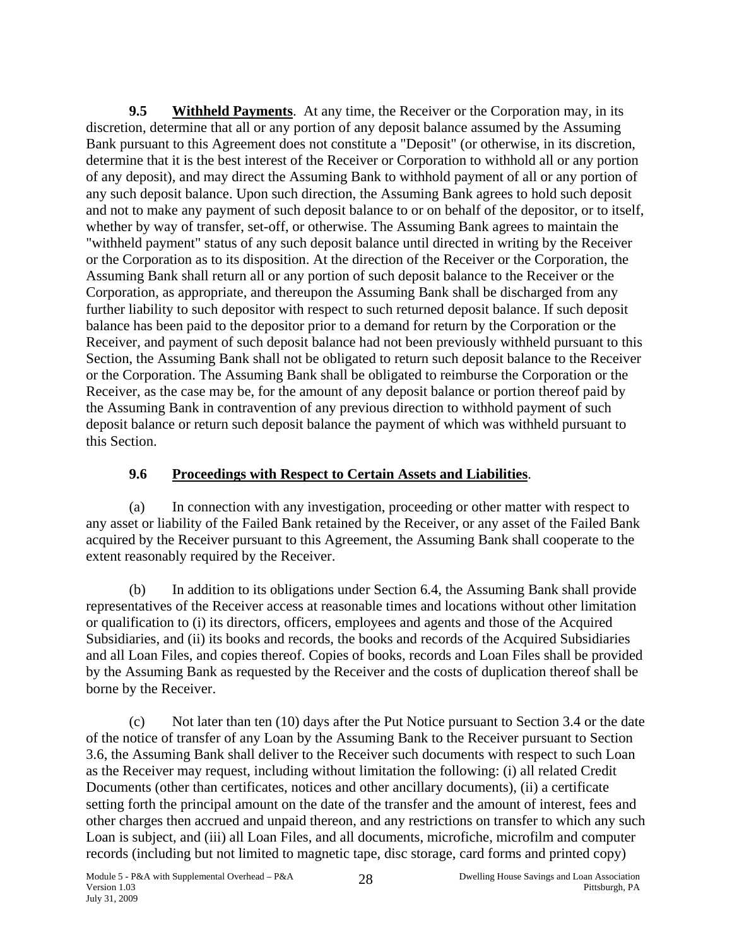<span id="page-31-0"></span>**9.5 Withheld Payments**. At any time, the Receiver or the Corporation may, in its discretion, determine that all or any portion of any deposit balance assumed by the Assuming Bank pursuant to this Agreement does not constitute a "Deposit" (or otherwise, in its discretion, determine that it is the best interest of the Receiver or Corporation to withhold all or any portion of any deposit), and may direct the Assuming Bank to withhold payment of all or any portion of any such deposit balance. Upon such direction, the Assuming Bank agrees to hold such deposit and not to make any payment of such deposit balance to or on behalf of the depositor, or to itself, whether by way of transfer, set-off, or otherwise. The Assuming Bank agrees to maintain the "withheld payment" status of any such deposit balance until directed in writing by the Receiver or the Corporation as to its disposition. At the direction of the Receiver or the Corporation, the Assuming Bank shall return all or any portion of such deposit balance to the Receiver or the Corporation, as appropriate, and thereupon the Assuming Bank shall be discharged from any further liability to such depositor with respect to such returned deposit balance. If such deposit balance has been paid to the depositor prior to a demand for return by the Corporation or the Receiver, and payment of such deposit balance had not been previously withheld pursuant to this Section, the Assuming Bank shall not be obligated to return such deposit balance to the Receiver or the Corporation. The Assuming Bank shall be obligated to reimburse the Corporation or the Receiver, as the case may be, for the amount of any deposit balance or portion thereof paid by the Assuming Bank in contravention of any previous direction to withhold payment of such deposit balance or return such deposit balance the payment of which was withheld pursuant to this Section.

# **9.6 Proceedings with Respect to Certain Assets and Liabilities**.

(a) In connection with any investigation, proceeding or other matter with respect to any asset or liability of the Failed Bank retained by the Receiver, or any asset of the Failed Bank acquired by the Receiver pursuant to this Agreement, the Assuming Bank shall cooperate to the extent reasonably required by the Receiver.

(b) In addition to its obligations under Section 6.4, the Assuming Bank shall provide representatives of the Receiver access at reasonable times and locations without other limitation or qualification to (i) its directors, officers, employees and agents and those of the Acquired Subsidiaries, and (ii) its books and records, the books and records of the Acquired Subsidiaries and all Loan Files, and copies thereof. Copies of books, records and Loan Files shall be provided by the Assuming Bank as requested by the Receiver and the costs of duplication thereof shall be borne by the Receiver.

(c) Not later than ten (10) days after the Put Notice pursuant to Section 3.4 or the date of the notice of transfer of any Loan by the Assuming Bank to the Receiver pursuant to Section 3.6, the Assuming Bank shall deliver to the Receiver such documents with respect to such Loan as the Receiver may request, including without limitation the following: (i) all related Credit Documents (other than certificates, notices and other ancillary documents), (ii) a certificate setting forth the principal amount on the date of the transfer and the amount of interest, fees and other charges then accrued and unpaid thereon, and any restrictions on transfer to which any such Loan is subject, and (iii) all Loan Files, and all documents, microfiche, microfilm and computer records (including but not limited to magnetic tape, disc storage, card forms and printed copy)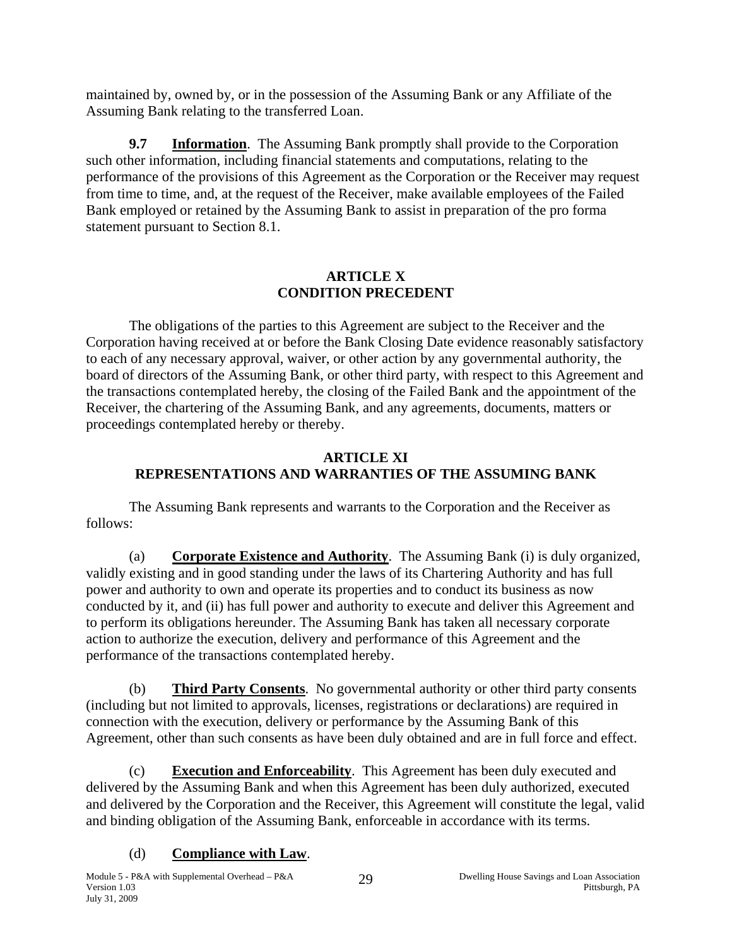<span id="page-32-0"></span>maintained by, owned by, or in the possession of the Assuming Bank or any Affiliate of the Assuming Bank relating to the transferred Loan.

**9.7** Information. The Assuming Bank promptly shall provide to the Corporation such other information, including financial statements and computations, relating to the performance of the provisions of this Agreement as the Corporation or the Receiver may request from time to time, and, at the request of the Receiver, make available employees of the Failed Bank employed or retained by the Assuming Bank to assist in preparation of the pro forma statement pursuant to Section 8.1.

# **ARTICLE X CONDITION PRECEDENT**

The obligations of the parties to this Agreement are subject to the Receiver and the Corporation having received at or before the Bank Closing Date evidence reasonably satisfactory to each of any necessary approval, waiver, or other action by any governmental authority, the board of directors of the Assuming Bank, or other third party, with respect to this Agreement and the transactions contemplated hereby, the closing of the Failed Bank and the appointment of the Receiver, the chartering of the Assuming Bank, and any agreements, documents, matters or proceedings contemplated hereby or thereby.

# **ARTICLE XI REPRESENTATIONS AND WARRANTIES OF THE ASSUMING BANK**

The Assuming Bank represents and warrants to the Corporation and the Receiver as follows:

(a) **Corporate Existence and Authority**. The Assuming Bank (i) is duly organized, validly existing and in good standing under the laws of its Chartering Authority and has full power and authority to own and operate its properties and to conduct its business as now conducted by it, and (ii) has full power and authority to execute and deliver this Agreement and to perform its obligations hereunder. The Assuming Bank has taken all necessary corporate action to authorize the execution, delivery and performance of this Agreement and the performance of the transactions contemplated hereby.

(b) **Third Party Consents**. No governmental authority or other third party consents (including but not limited to approvals, licenses, registrations or declarations) are required in connection with the execution, delivery or performance by the Assuming Bank of this Agreement, other than such consents as have been duly obtained and are in full force and effect.

(c) **Execution and Enforceability**. This Agreement has been duly executed and delivered by the Assuming Bank and when this Agreement has been duly authorized, executed and delivered by the Corporation and the Receiver, this Agreement will constitute the legal, valid and binding obligation of the Assuming Bank, enforceable in accordance with its terms.

# (d) **Compliance with Law**.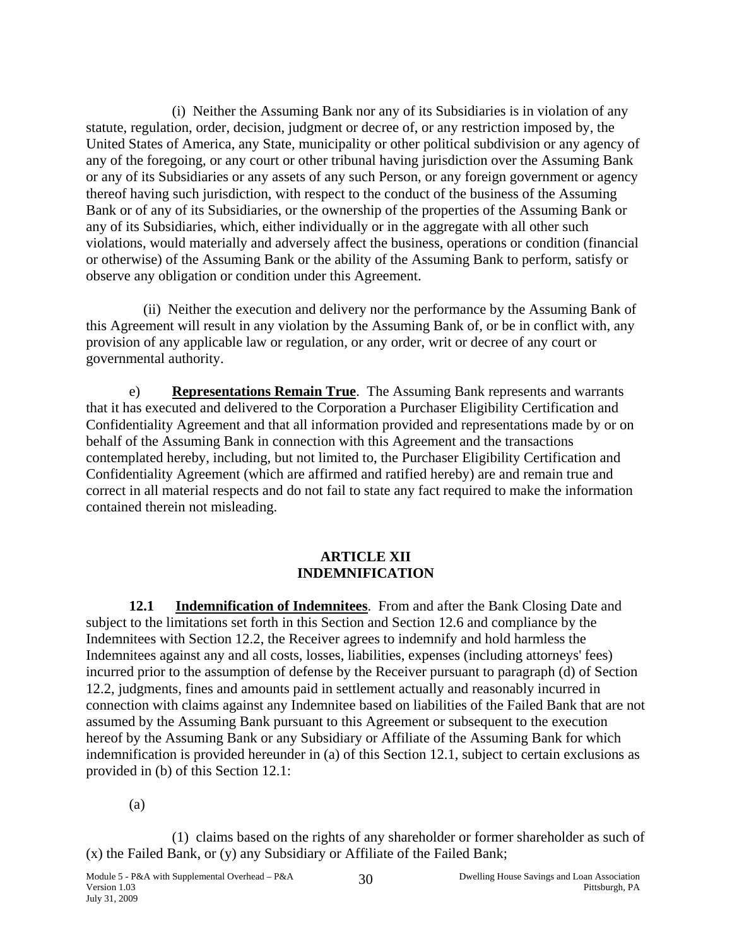<span id="page-33-0"></span>(i) Neither the Assuming Bank nor any of its Subsidiaries is in violation of any statute, regulation, order, decision, judgment or decree of, or any restriction imposed by, the United States of America, any State, municipality or other political subdivision or any agency of any of the foregoing, or any court or other tribunal having jurisdiction over the Assuming Bank or any of its Subsidiaries or any assets of any such Person, or any foreign government or agency thereof having such jurisdiction, with respect to the conduct of the business of the Assuming Bank or of any of its Subsidiaries, or the ownership of the properties of the Assuming Bank or any of its Subsidiaries, which, either individually or in the aggregate with all other such violations, would materially and adversely affect the business, operations or condition (financial or otherwise) of the Assuming Bank or the ability of the Assuming Bank to perform, satisfy or observe any obligation or condition under this Agreement.

(ii) Neither the execution and delivery nor the performance by the Assuming Bank of this Agreement will result in any violation by the Assuming Bank of, or be in conflict with, any provision of any applicable law or regulation, or any order, writ or decree of any court or governmental authority.

e) **Representations Remain True**. The Assuming Bank represents and warrants that it has executed and delivered to the Corporation a Purchaser Eligibility Certification and Confidentiality Agreement and that all information provided and representations made by or on behalf of the Assuming Bank in connection with this Agreement and the transactions contemplated hereby, including, but not limited to, the Purchaser Eligibility Certification and Confidentiality Agreement (which are affirmed and ratified hereby) are and remain true and correct in all material respects and do not fail to state any fact required to make the information contained therein not misleading.

### **ARTICLE XII INDEMNIFICATION**

**12.1 Indemnification of Indemnitees**. From and after the Bank Closing Date and subject to the limitations set forth in this Section and Section 12.6 and compliance by the Indemnitees with Section 12.2, the Receiver agrees to indemnify and hold harmless the Indemnitees against any and all costs, losses, liabilities, expenses (including attorneys' fees) incurred prior to the assumption of defense by the Receiver pursuant to paragraph (d) of Section 12.2, judgments, fines and amounts paid in settlement actually and reasonably incurred in connection with claims against any Indemnitee based on liabilities of the Failed Bank that are not assumed by the Assuming Bank pursuant to this Agreement or subsequent to the execution hereof by the Assuming Bank or any Subsidiary or Affiliate of the Assuming Bank for which indemnification is provided hereunder in (a) of this Section 12.1, subject to certain exclusions as provided in (b) of this Section 12.1:

(a)

(1) claims based on the rights of any shareholder or former shareholder as such of (x) the Failed Bank, or (y) any Subsidiary or Affiliate of the Failed Bank;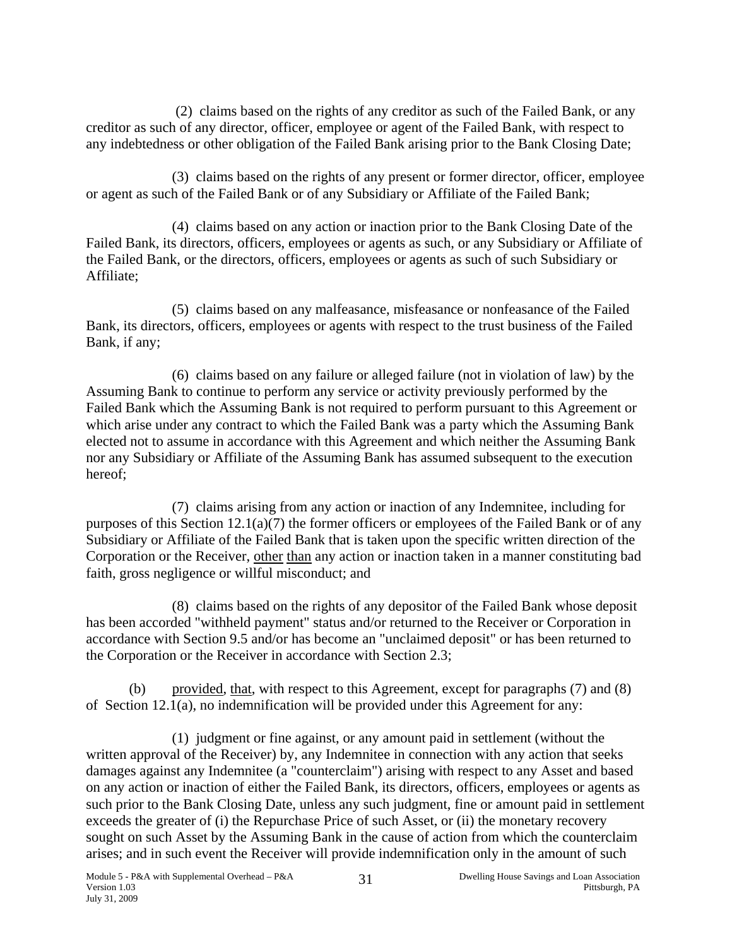(2) claims based on the rights of any creditor as such of the Failed Bank, or any creditor as such of any director, officer, employee or agent of the Failed Bank, with respect to any indebtedness or other obligation of the Failed Bank arising prior to the Bank Closing Date;

(3) claims based on the rights of any present or former director, officer, employee or agent as such of the Failed Bank or of any Subsidiary or Affiliate of the Failed Bank;

(4) claims based on any action or inaction prior to the Bank Closing Date of the Failed Bank, its directors, officers, employees or agents as such, or any Subsidiary or Affiliate of the Failed Bank, or the directors, officers, employees or agents as such of such Subsidiary or Affiliate;

(5) claims based on any malfeasance, misfeasance or nonfeasance of the Failed Bank, its directors, officers, employees or agents with respect to the trust business of the Failed Bank, if any;

(6) claims based on any failure or alleged failure (not in violation of law) by the Assuming Bank to continue to perform any service or activity previously performed by the Failed Bank which the Assuming Bank is not required to perform pursuant to this Agreement or which arise under any contract to which the Failed Bank was a party which the Assuming Bank elected not to assume in accordance with this Agreement and which neither the Assuming Bank nor any Subsidiary or Affiliate of the Assuming Bank has assumed subsequent to the execution hereof;

(7) claims arising from any action or inaction of any Indemnitee, including for purposes of this Section 12.1(a)(7) the former officers or employees of the Failed Bank or of any Subsidiary or Affiliate of the Failed Bank that is taken upon the specific written direction of the Corporation or the Receiver, other than any action or inaction taken in a manner constituting bad faith, gross negligence or willful misconduct; and

(8) claims based on the rights of any depositor of the Failed Bank whose deposit has been accorded "withheld payment" status and/or returned to the Receiver or Corporation in accordance with Section 9.5 and/or has become an "unclaimed deposit" or has been returned to the Corporation or the Receiver in accordance with Section 2.3;

(b) provided, that, with respect to this Agreement, except for paragraphs (7) and (8) of Section 12.1(a), no indemnification will be provided under this Agreement for any:

(1) judgment or fine against, or any amount paid in settlement (without the written approval of the Receiver) by, any Indemnitee in connection with any action that seeks damages against any Indemnitee (a "counterclaim") arising with respect to any Asset and based on any action or inaction of either the Failed Bank, its directors, officers, employees or agents as such prior to the Bank Closing Date, unless any such judgment, fine or amount paid in settlement exceeds the greater of (i) the Repurchase Price of such Asset, or (ii) the monetary recovery sought on such Asset by the Assuming Bank in the cause of action from which the counterclaim arises; and in such event the Receiver will provide indemnification only in the amount of such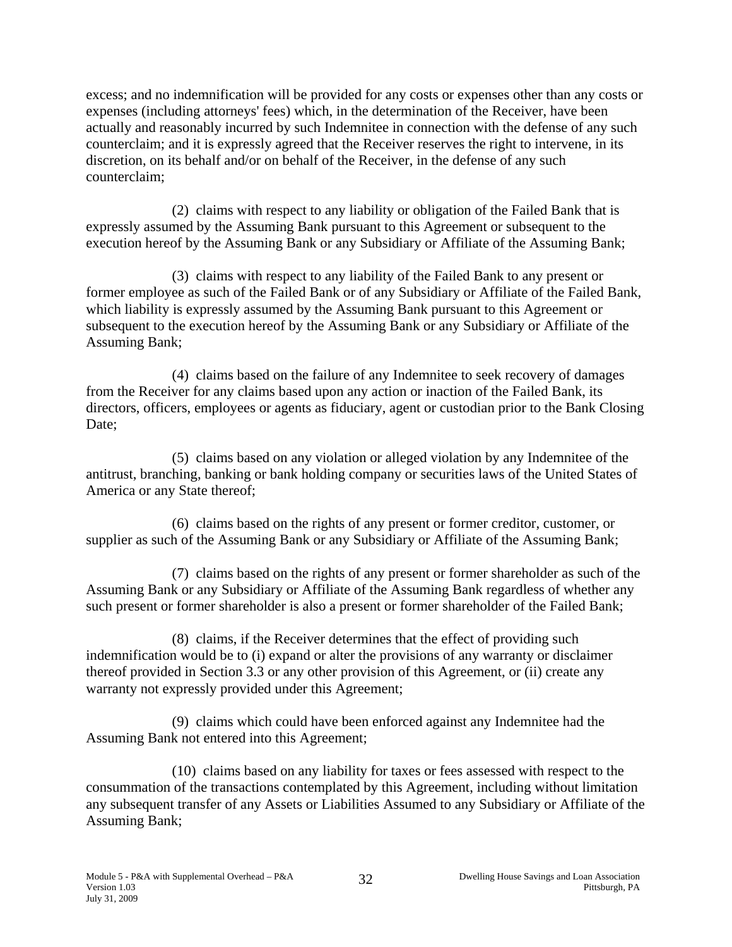excess; and no indemnification will be provided for any costs or expenses other than any costs or expenses (including attorneys' fees) which, in the determination of the Receiver, have been actually and reasonably incurred by such Indemnitee in connection with the defense of any such counterclaim; and it is expressly agreed that the Receiver reserves the right to intervene, in its discretion, on its behalf and/or on behalf of the Receiver, in the defense of any such counterclaim;

(2) claims with respect to any liability or obligation of the Failed Bank that is expressly assumed by the Assuming Bank pursuant to this Agreement or subsequent to the execution hereof by the Assuming Bank or any Subsidiary or Affiliate of the Assuming Bank;

(3) claims with respect to any liability of the Failed Bank to any present or former employee as such of the Failed Bank or of any Subsidiary or Affiliate of the Failed Bank, which liability is expressly assumed by the Assuming Bank pursuant to this Agreement or subsequent to the execution hereof by the Assuming Bank or any Subsidiary or Affiliate of the Assuming Bank;

(4) claims based on the failure of any Indemnitee to seek recovery of damages from the Receiver for any claims based upon any action or inaction of the Failed Bank, its directors, officers, employees or agents as fiduciary, agent or custodian prior to the Bank Closing Date;

(5) claims based on any violation or alleged violation by any Indemnitee of the antitrust, branching, banking or bank holding company or securities laws of the United States of America or any State thereof;

(6) claims based on the rights of any present or former creditor, customer, or supplier as such of the Assuming Bank or any Subsidiary or Affiliate of the Assuming Bank;

(7) claims based on the rights of any present or former shareholder as such of the Assuming Bank or any Subsidiary or Affiliate of the Assuming Bank regardless of whether any such present or former shareholder is also a present or former shareholder of the Failed Bank;

(8) claims, if the Receiver determines that the effect of providing such indemnification would be to (i) expand or alter the provisions of any warranty or disclaimer thereof provided in Section 3.3 or any other provision of this Agreement, or (ii) create any warranty not expressly provided under this Agreement;

(9) claims which could have been enforced against any Indemnitee had the Assuming Bank not entered into this Agreement;

(10) claims based on any liability for taxes or fees assessed with respect to the consummation of the transactions contemplated by this Agreement, including without limitation any subsequent transfer of any Assets or Liabilities Assumed to any Subsidiary or Affiliate of the Assuming Bank;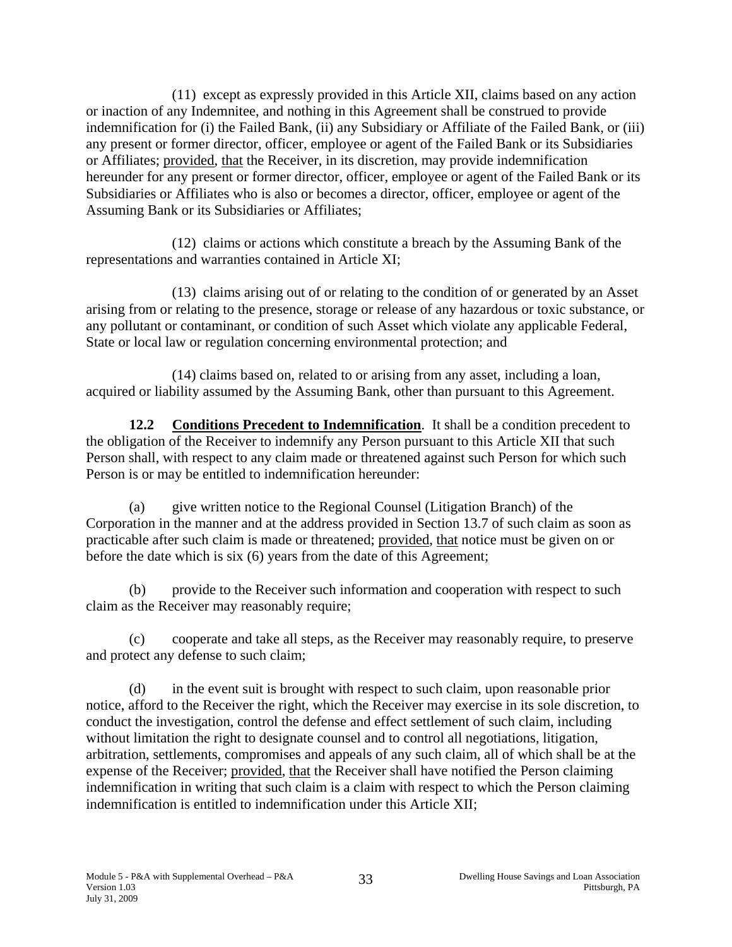<span id="page-36-0"></span>(11) except as expressly provided in this Article XII, claims based on any action or inaction of any Indemnitee, and nothing in this Agreement shall be construed to provide indemnification for (i) the Failed Bank, (ii) any Subsidiary or Affiliate of the Failed Bank, or (iii) any present or former director, officer, employee or agent of the Failed Bank or its Subsidiaries or Affiliates; provided, that the Receiver, in its discretion, may provide indemnification hereunder for any present or former director, officer, employee or agent of the Failed Bank or its Subsidiaries or Affiliates who is also or becomes a director, officer, employee or agent of the Assuming Bank or its Subsidiaries or Affiliates;

(12) claims or actions which constitute a breach by the Assuming Bank of the representations and warranties contained in Article XI;

(13) claims arising out of or relating to the condition of or generated by an Asset arising from or relating to the presence, storage or release of any hazardous or toxic substance, or any pollutant or contaminant, or condition of such Asset which violate any applicable Federal, State or local law or regulation concerning environmental protection; and

(14) claims based on, related to or arising from any asset, including a loan, acquired or liability assumed by the Assuming Bank, other than pursuant to this Agreement.

**12.2 Conditions Precedent to Indemnification**. It shall be a condition precedent to the obligation of the Receiver to indemnify any Person pursuant to this Article XII that such Person shall, with respect to any claim made or threatened against such Person for which such Person is or may be entitled to indemnification hereunder:

(a) give written notice to the Regional Counsel (Litigation Branch) of the Corporation in the manner and at the address provided in Section 13.7 of such claim as soon as practicable after such claim is made or threatened; provided, that notice must be given on or before the date which is six (6) years from the date of this Agreement;

(b) provide to the Receiver such information and cooperation with respect to such claim as the Receiver may reasonably require;

(c) cooperate and take all steps, as the Receiver may reasonably require, to preserve and protect any defense to such claim;

(d) in the event suit is brought with respect to such claim, upon reasonable prior notice, afford to the Receiver the right, which the Receiver may exercise in its sole discretion, to conduct the investigation, control the defense and effect settlement of such claim, including without limitation the right to designate counsel and to control all negotiations, litigation, arbitration, settlements, compromises and appeals of any such claim, all of which shall be at the expense of the Receiver; provided, that the Receiver shall have notified the Person claiming indemnification in writing that such claim is a claim with respect to which the Person claiming indemnification is entitled to indemnification under this Article XII;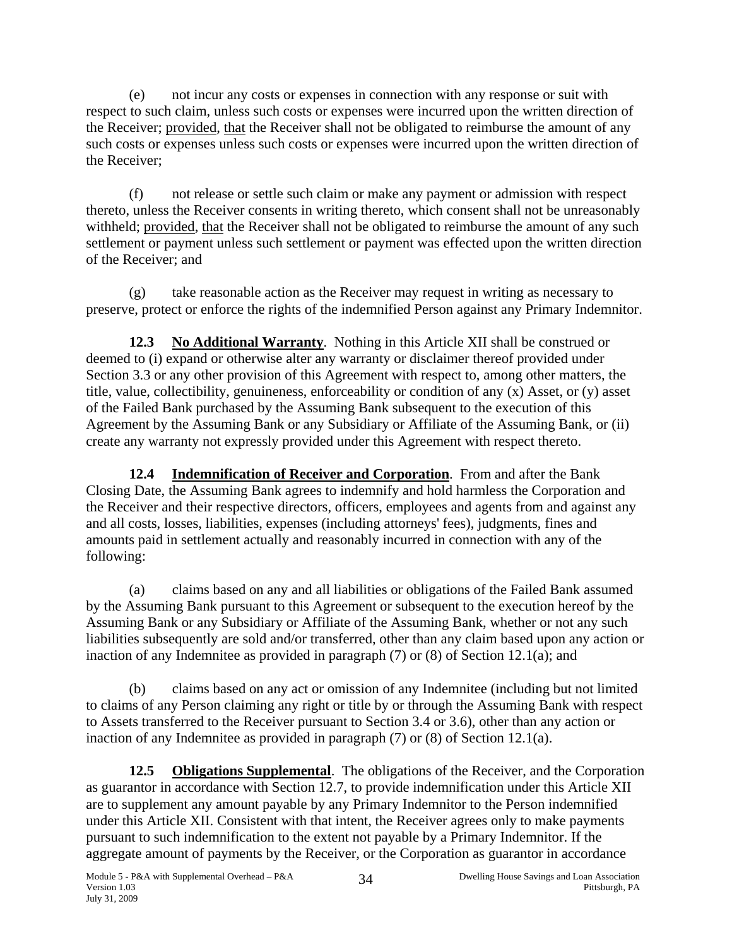<span id="page-37-0"></span>(e) not incur any costs or expenses in connection with any response or suit with respect to such claim, unless such costs or expenses were incurred upon the written direction of the Receiver; provided, that the Receiver shall not be obligated to reimburse the amount of any such costs or expenses unless such costs or expenses were incurred upon the written direction of the Receiver;

(f) not release or settle such claim or make any payment or admission with respect thereto, unless the Receiver consents in writing thereto, which consent shall not be unreasonably withheld; provided, that the Receiver shall not be obligated to reimburse the amount of any such settlement or payment unless such settlement or payment was effected upon the written direction of the Receiver; and

(g) take reasonable action as the Receiver may request in writing as necessary to preserve, protect or enforce the rights of the indemnified Person against any Primary Indemnitor.

**12.3 No Additional Warranty**. Nothing in this Article XII shall be construed or deemed to (i) expand or otherwise alter any warranty or disclaimer thereof provided under Section 3.3 or any other provision of this Agreement with respect to, among other matters, the title, value, collectibility, genuineness, enforceability or condition of any (x) Asset, or (y) asset of the Failed Bank purchased by the Assuming Bank subsequent to the execution of this Agreement by the Assuming Bank or any Subsidiary or Affiliate of the Assuming Bank, or (ii) create any warranty not expressly provided under this Agreement with respect thereto.

**12.4 Indemnification of Receiver and Corporation**. From and after the Bank Closing Date, the Assuming Bank agrees to indemnify and hold harmless the Corporation and the Receiver and their respective directors, officers, employees and agents from and against any and all costs, losses, liabilities, expenses (including attorneys' fees), judgments, fines and amounts paid in settlement actually and reasonably incurred in connection with any of the following:

(a) claims based on any and all liabilities or obligations of the Failed Bank assumed by the Assuming Bank pursuant to this Agreement or subsequent to the execution hereof by the Assuming Bank or any Subsidiary or Affiliate of the Assuming Bank, whether or not any such liabilities subsequently are sold and/or transferred, other than any claim based upon any action or inaction of any Indemnitee as provided in paragraph (7) or (8) of Section 12.1(a); and

(b) claims based on any act or omission of any Indemnitee (including but not limited to claims of any Person claiming any right or title by or through the Assuming Bank with respect to Assets transferred to the Receiver pursuant to Section 3.4 or 3.6), other than any action or inaction of any Indemnitee as provided in paragraph (7) or (8) of Section 12.1(a).

**12.5 Obligations Supplemental**. The obligations of the Receiver, and the Corporation as guarantor in accordance with Section 12.7, to provide indemnification under this Article XII are to supplement any amount payable by any Primary Indemnitor to the Person indemnified under this Article XII. Consistent with that intent, the Receiver agrees only to make payments pursuant to such indemnification to the extent not payable by a Primary Indemnitor. If the aggregate amount of payments by the Receiver, or the Corporation as guarantor in accordance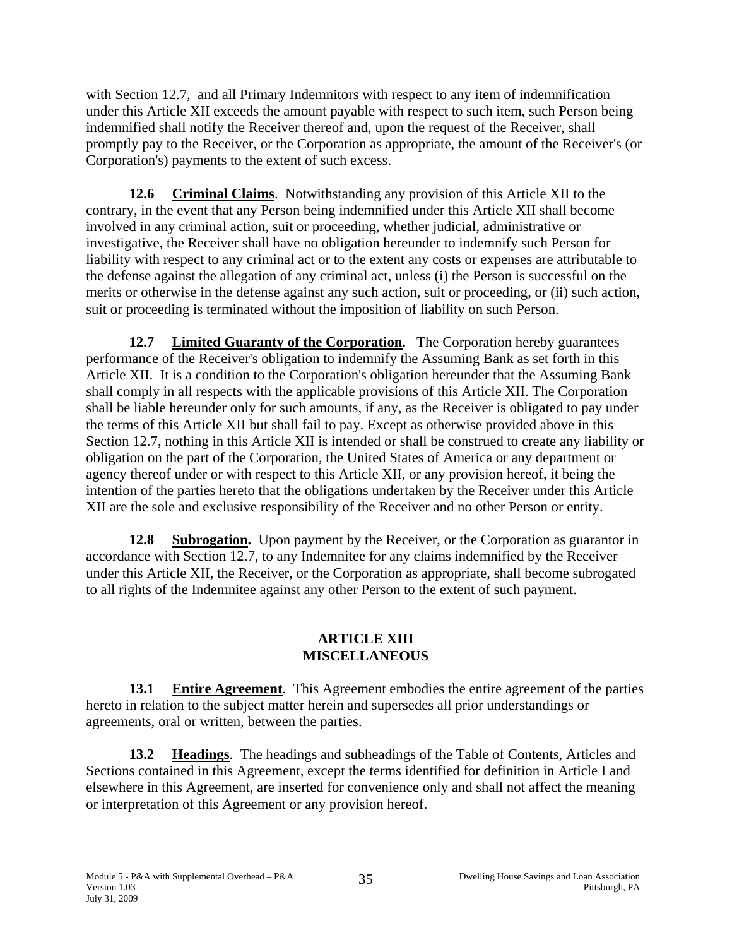<span id="page-38-0"></span>with Section 12.7, and all Primary Indemnitors with respect to any item of indemnification under this Article XII exceeds the amount payable with respect to such item, such Person being indemnified shall notify the Receiver thereof and, upon the request of the Receiver, shall promptly pay to the Receiver, or the Corporation as appropriate, the amount of the Receiver's (or Corporation's) payments to the extent of such excess.

**12.6 Criminal Claims**. Notwithstanding any provision of this Article XII to the contrary, in the event that any Person being indemnified under this Article XII shall become involved in any criminal action, suit or proceeding, whether judicial, administrative or investigative, the Receiver shall have no obligation hereunder to indemnify such Person for liability with respect to any criminal act or to the extent any costs or expenses are attributable to the defense against the allegation of any criminal act, unless (i) the Person is successful on the merits or otherwise in the defense against any such action, suit or proceeding, or (ii) such action, suit or proceeding is terminated without the imposition of liability on such Person.

**12.7 Limited Guaranty of the Corporation.** The Corporation hereby guarantees performance of the Receiver's obligation to indemnify the Assuming Bank as set forth in this Article XII. It is a condition to the Corporation's obligation hereunder that the Assuming Bank shall comply in all respects with the applicable provisions of this Article XII. The Corporation shall be liable hereunder only for such amounts, if any, as the Receiver is obligated to pay under the terms of this Article XII but shall fail to pay. Except as otherwise provided above in this Section 12.7, nothing in this Article XII is intended or shall be construed to create any liability or obligation on the part of the Corporation, the United States of America or any department or agency thereof under or with respect to this Article XII, or any provision hereof, it being the intention of the parties hereto that the obligations undertaken by the Receiver under this Article XII are the sole and exclusive responsibility of the Receiver and no other Person or entity.

**12.8 Subrogation.** Upon payment by the Receiver, or the Corporation as guarantor in accordance with Section 12.7, to any Indemnitee for any claims indemnified by the Receiver under this Article XII, the Receiver, or the Corporation as appropriate, shall become subrogated to all rights of the Indemnitee against any other Person to the extent of such payment.

### **ARTICLE XIII MISCELLANEOUS**

**13.1 Entire Agreement**. This Agreement embodies the entire agreement of the parties hereto in relation to the subject matter herein and supersedes all prior understandings or agreements, oral or written, between the parties.

**13.2 Headings**. The headings and subheadings of the Table of Contents, Articles and Sections contained in this Agreement, except the terms identified for definition in Article I and elsewhere in this Agreement, are inserted for convenience only and shall not affect the meaning or interpretation of this Agreement or any provision hereof.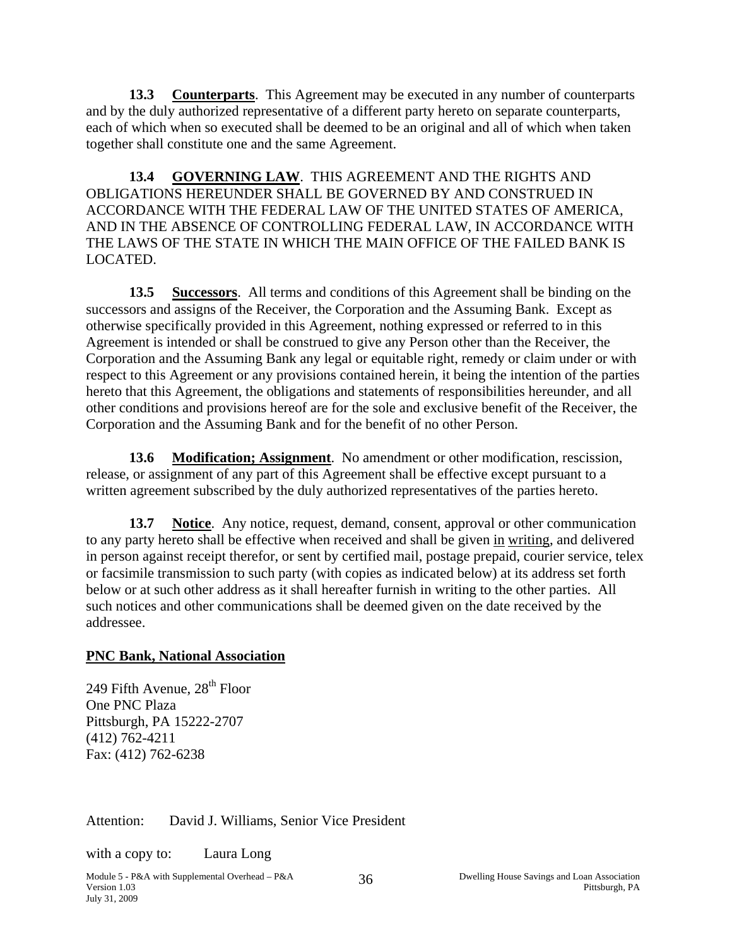<span id="page-39-0"></span>**13.3** Counterparts. This Agreement may be executed in any number of counterparts and by the duly authorized representative of a different party hereto on separate counterparts, each of which when so executed shall be deemed to be an original and all of which when taken together shall constitute one and the same Agreement.

13.4 **GOVERNING LAW.** THIS AGREEMENT AND THE RIGHTS AND OBLIGATIONS HEREUNDER SHALL BE GOVERNED BY AND CONSTRUED IN ACCORDANCE WITH THE FEDERAL LAW OF THE UNITED STATES OF AMERICA, AND IN THE ABSENCE OF CONTROLLING FEDERAL LAW, IN ACCORDANCE WITH THE LAWS OF THE STATE IN WHICH THE MAIN OFFICE OF THE FAILED BANK IS LOCATED.

**13.5 Successors**. All terms and conditions of this Agreement shall be binding on the successors and assigns of the Receiver, the Corporation and the Assuming Bank. Except as otherwise specifically provided in this Agreement, nothing expressed or referred to in this Agreement is intended or shall be construed to give any Person other than the Receiver, the Corporation and the Assuming Bank any legal or equitable right, remedy or claim under or with respect to this Agreement or any provisions contained herein, it being the intention of the parties hereto that this Agreement, the obligations and statements of responsibilities hereunder, and all other conditions and provisions hereof are for the sole and exclusive benefit of the Receiver, the Corporation and the Assuming Bank and for the benefit of no other Person.

**13.6 Modification; Assignment**. No amendment or other modification, rescission, release, or assignment of any part of this Agreement shall be effective except pursuant to a written agreement subscribed by the duly authorized representatives of the parties hereto.

**13.7** Notice. Any notice, request, demand, consent, approval or other communication to any party hereto shall be effective when received and shall be given in writing, and delivered in person against receipt therefor, or sent by certified mail, postage prepaid, courier service, telex or facsimile transmission to such party (with copies as indicated below) at its address set forth below or at such other address as it shall hereafter furnish in writing to the other parties. All such notices and other communications shall be deemed given on the date received by the addressee.

# **PNC Bank, National Association**

249 Fifth Avenue,  $28<sup>th</sup>$  Floor One PNC Plaza Pittsburgh, PA 15222-2707 (412) 762-4211 Fax: (412) 762-6238

Attention: David J. Williams, Senior Vice President

with a copy to: Laura Long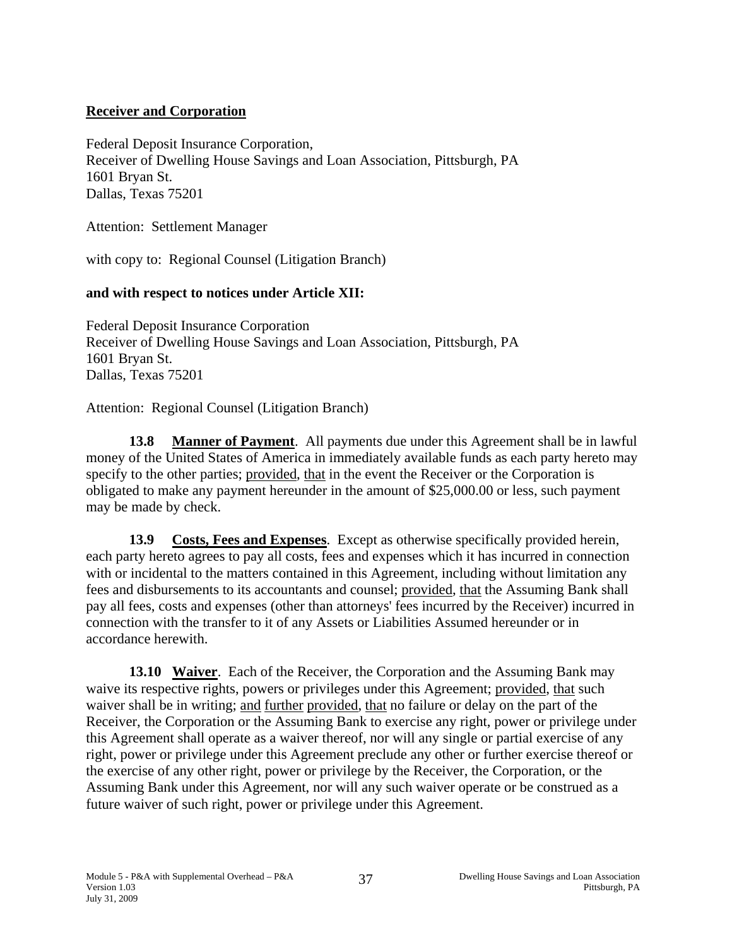## <span id="page-40-0"></span>**Receiver and Corporation**

Federal Deposit Insurance Corporation, Receiver of Dwelling House Savings and Loan Association, Pittsburgh, PA 1601 Bryan St. Dallas, Texas 75201

Attention: Settlement Manager

with copy to: Regional Counsel (Litigation Branch)

## **and with respect to notices under Article XII:**

Federal Deposit Insurance Corporation Receiver of Dwelling House Savings and Loan Association, Pittsburgh, PA 1601 Bryan St. Dallas, Texas 75201

Attention: Regional Counsel (Litigation Branch)

**13.8 Manner of Payment**. All payments due under this Agreement shall be in lawful money of the United States of America in immediately available funds as each party hereto may specify to the other parties; provided, that in the event the Receiver or the Corporation is obligated to make any payment hereunder in the amount of \$25,000.00 or less, such payment may be made by check.

**13.9 Costs, Fees and Expenses**. Except as otherwise specifically provided herein, each party hereto agrees to pay all costs, fees and expenses which it has incurred in connection with or incidental to the matters contained in this Agreement, including without limitation any fees and disbursements to its accountants and counsel; provided, that the Assuming Bank shall pay all fees, costs and expenses (other than attorneys' fees incurred by the Receiver) incurred in connection with the transfer to it of any Assets or Liabilities Assumed hereunder or in accordance herewith.

**13.10 Waiver**. Each of the Receiver, the Corporation and the Assuming Bank may waive its respective rights, powers or privileges under this Agreement; provided, that such waiver shall be in writing; and further provided, that no failure or delay on the part of the Receiver, the Corporation or the Assuming Bank to exercise any right, power or privilege under this Agreement shall operate as a waiver thereof, nor will any single or partial exercise of any right, power or privilege under this Agreement preclude any other or further exercise thereof or the exercise of any other right, power or privilege by the Receiver, the Corporation, or the Assuming Bank under this Agreement, nor will any such waiver operate or be construed as a future waiver of such right, power or privilege under this Agreement.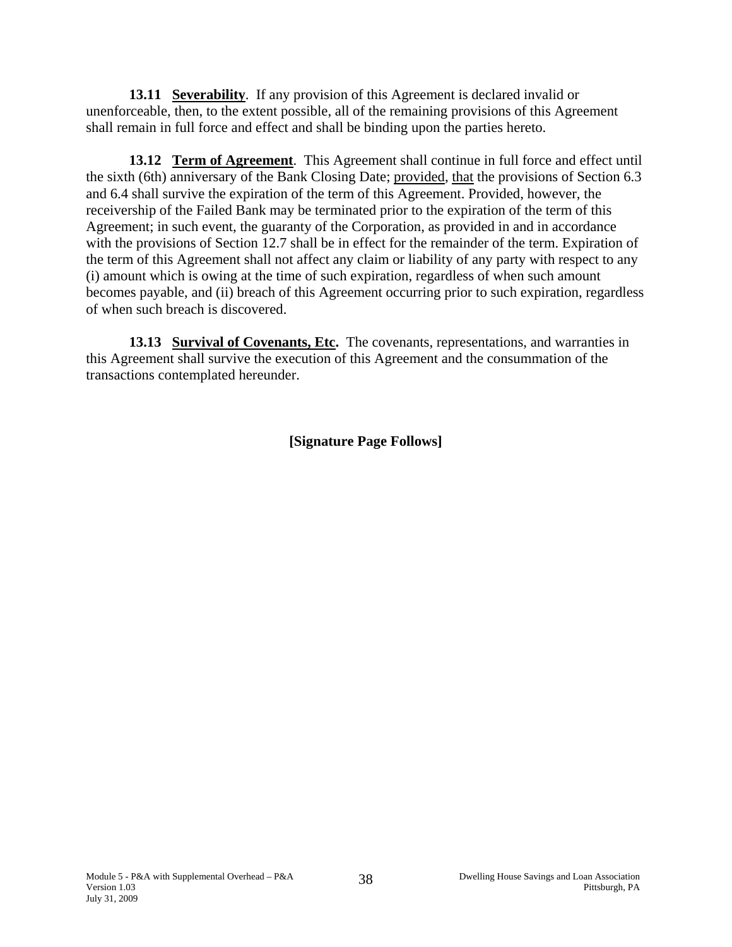<span id="page-41-0"></span>**13.11 Severability**. If any provision of this Agreement is declared invalid or unenforceable, then, to the extent possible, all of the remaining provisions of this Agreement shall remain in full force and effect and shall be binding upon the parties hereto.

**13.12 Term of Agreement**. This Agreement shall continue in full force and effect until the sixth (6th) anniversary of the Bank Closing Date; provided, that the provisions of Section 6.3 and 6.4 shall survive the expiration of the term of this Agreement. Provided, however, the receivership of the Failed Bank may be terminated prior to the expiration of the term of this Agreement; in such event, the guaranty of the Corporation, as provided in and in accordance with the provisions of Section 12.7 shall be in effect for the remainder of the term. Expiration of the term of this Agreement shall not affect any claim or liability of any party with respect to any (i) amount which is owing at the time of such expiration, regardless of when such amount becomes payable, and (ii) breach of this Agreement occurring prior to such expiration, regardless of when such breach is discovered.

**13.13 Survival of Covenants, Etc.** The covenants, representations, and warranties in this Agreement shall survive the execution of this Agreement and the consummation of the transactions contemplated hereunder.

**[Signature Page Follows]**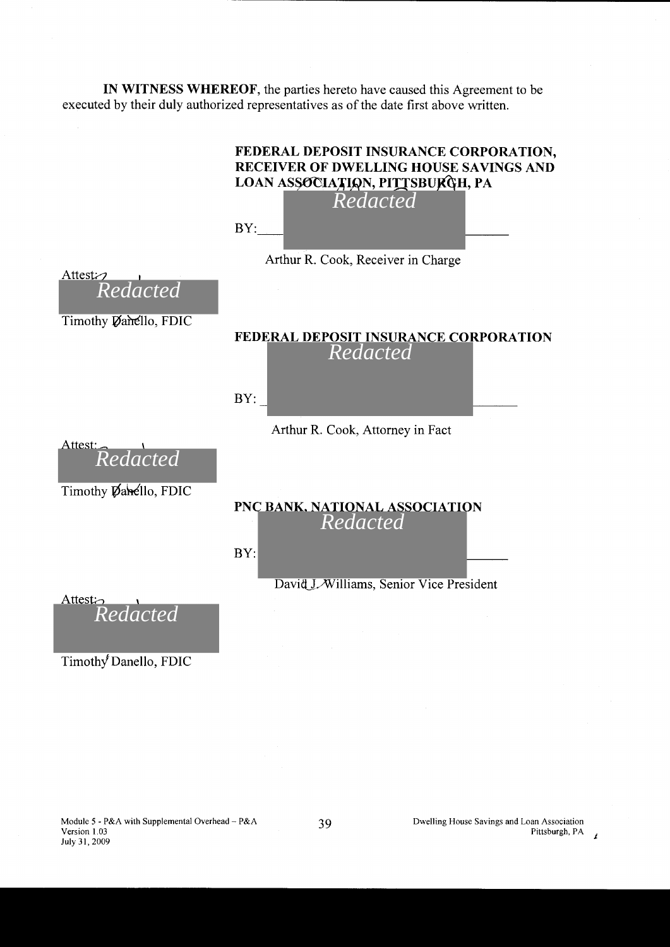IN WITNESS WHEREOF, the parties hereto have caused this Agreement to be executed by their duly authorized representatives as of the date first above written.

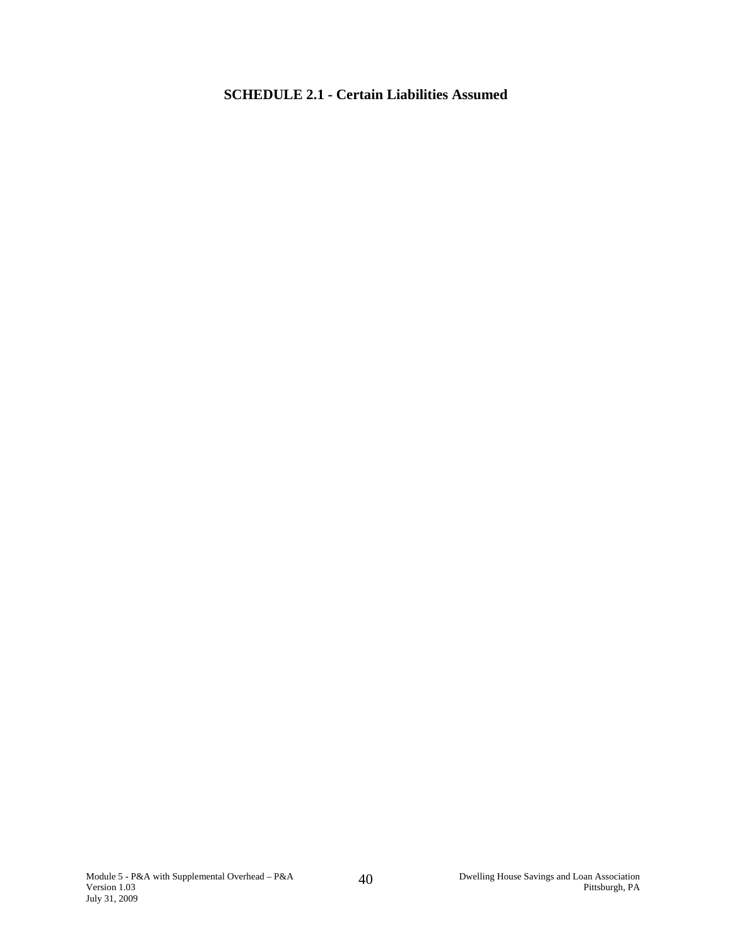<span id="page-43-0"></span>**SCHEDULE 2.1 - Certain Liabilities Assumed**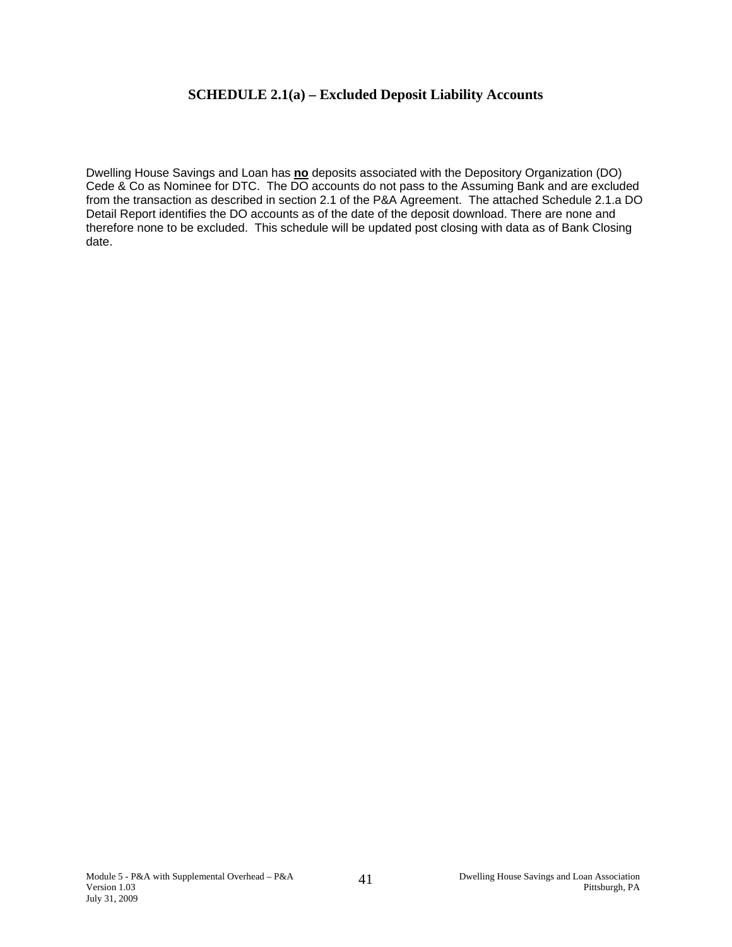### **SCHEDULE 2.1(a) – Excluded Deposit Liability Accounts**

<span id="page-44-0"></span>Dwelling House Savings and Loan has **no** deposits associated with the Depository Organization (DO) Cede & Co as Nominee for DTC. The DO accounts do not pass to the Assuming Bank and are excluded from the transaction as described in section 2.1 of the P&A Agreement. The attached Schedule 2.1.a DO Detail Report identifies the DO accounts as of the date of the deposit download. There are none and therefore none to be excluded. This schedule will be updated post closing with data as of Bank Closing date.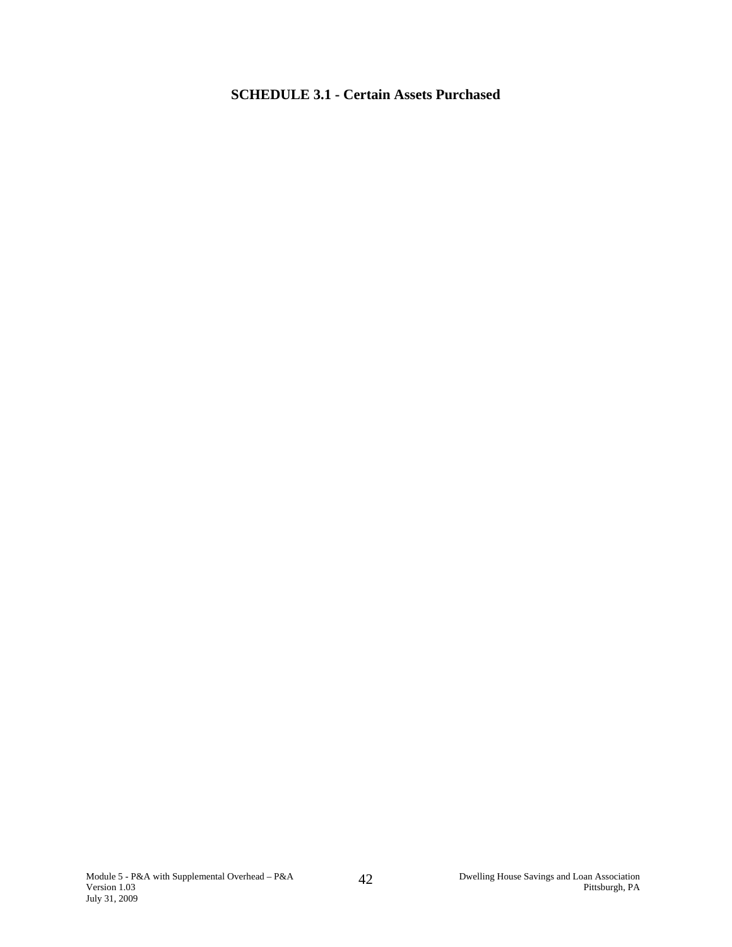<span id="page-45-0"></span>**SCHEDULE 3.1 - Certain Assets Purchased**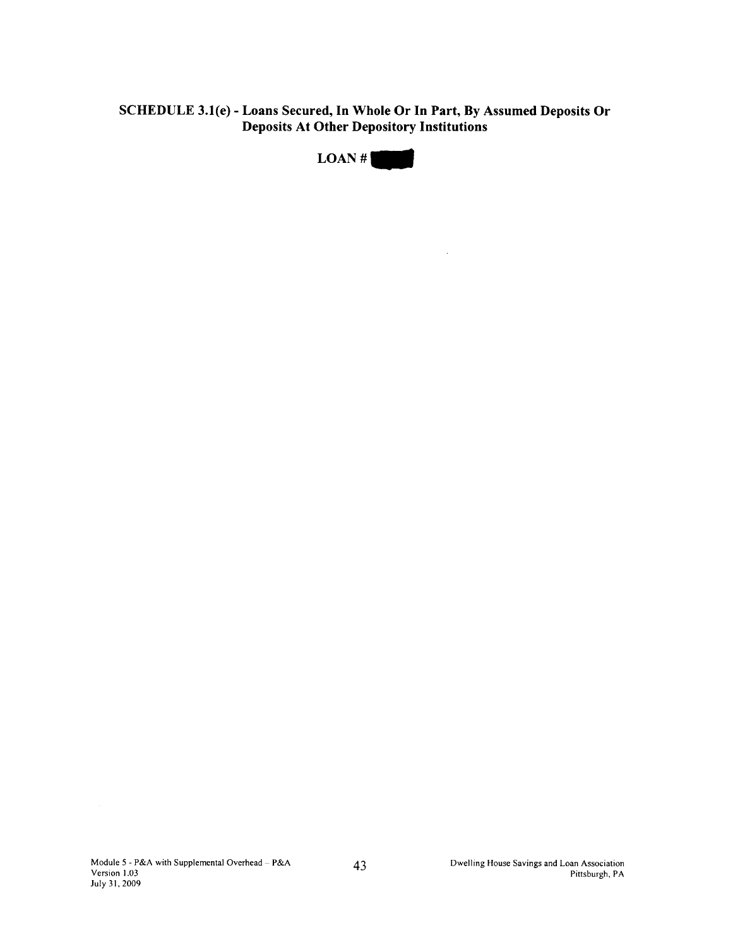SCHEDULE 3.I(e) - Loans Secured, In Whole Or In Part, By Assumed Deposits Or Deposits At Other Depository Institutions

 $\sim$ 

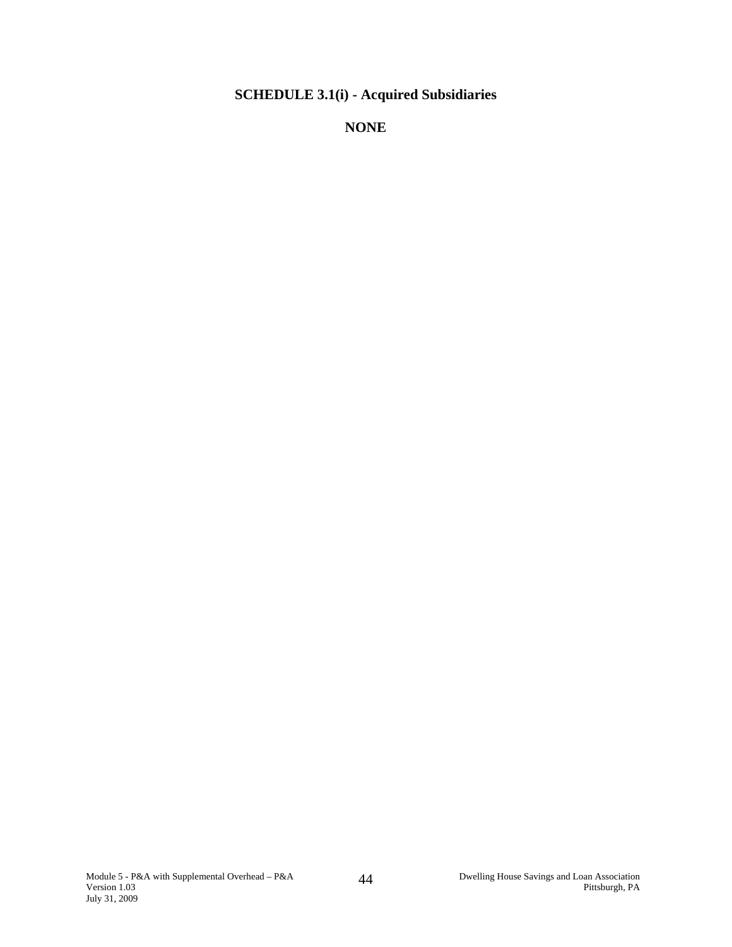<span id="page-47-0"></span>**SCHEDULE 3.1(i) - Acquired Subsidiaries** 

**NONE**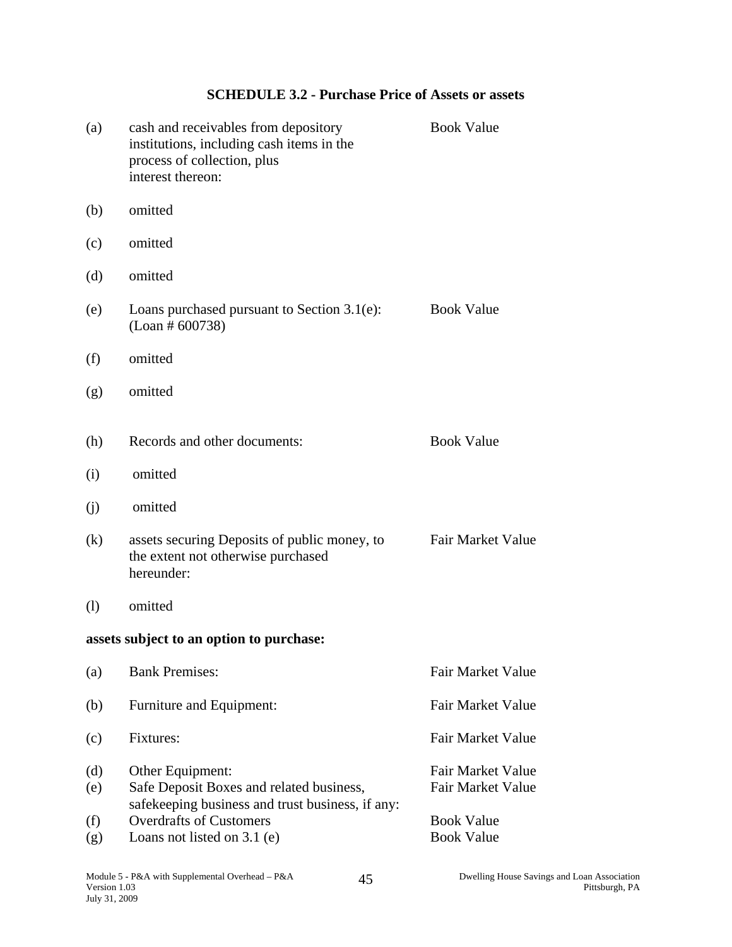# **SCHEDULE 3.2 - Purchase Price of Assets or assets**

| (a)        | cash and receivables from depository<br>institutions, including cash items in the<br>process of collection, plus<br>interest thereon: | <b>Book Value</b>                             |
|------------|---------------------------------------------------------------------------------------------------------------------------------------|-----------------------------------------------|
| (b)        | omitted                                                                                                                               |                                               |
| (c)        | omitted                                                                                                                               |                                               |
| (d)        | omitted                                                                                                                               |                                               |
| (e)        | Loans purchased pursuant to Section $3.1(e)$ :<br>(Loan # 600738)                                                                     | <b>Book Value</b>                             |
| (f)        | omitted                                                                                                                               |                                               |
| (g)        | omitted                                                                                                                               |                                               |
| (h)        | Records and other documents:                                                                                                          | <b>Book Value</b>                             |
| (i)        | omitted                                                                                                                               |                                               |
| (j)        | omitted                                                                                                                               |                                               |
| (k)        | assets securing Deposits of public money, to<br>the extent not otherwise purchased<br>hereunder:                                      | Fair Market Value                             |
| (1)        | omitted                                                                                                                               |                                               |
|            | assets subject to an option to purchase:                                                                                              |                                               |
| (a)        | <b>Bank Premises:</b>                                                                                                                 | <b>Fair Market Value</b>                      |
| (b)        | Furniture and Equipment:                                                                                                              | Fair Market Value                             |
| (c)        | Fixtures:                                                                                                                             | <b>Fair Market Value</b>                      |
| (d)<br>(e) | Other Equipment:<br>Safe Deposit Boxes and related business,<br>safekeeping business and trust business, if any:                      | <b>Fair Market Value</b><br>Fair Market Value |
| (f)<br>(g) | <b>Overdrafts of Customers</b><br>Loans not listed on $3.1$ (e)                                                                       | <b>Book Value</b><br><b>Book Value</b>        |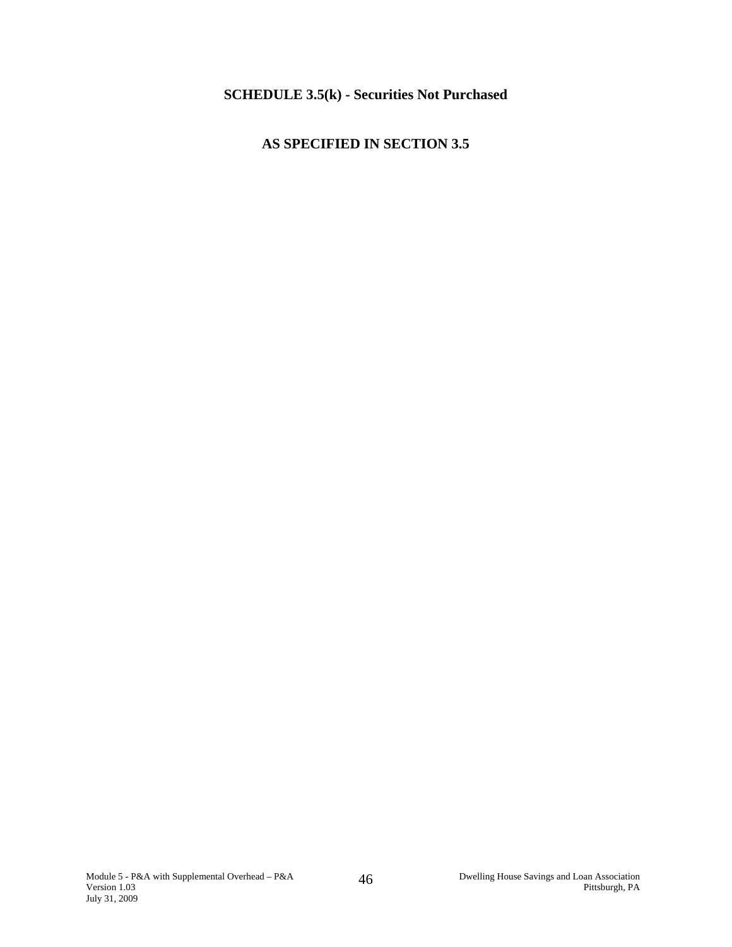# <span id="page-49-0"></span>**SCHEDULE 3.5(k) - Securities Not Purchased**

# **AS SPECIFIED IN SECTION 3.5**